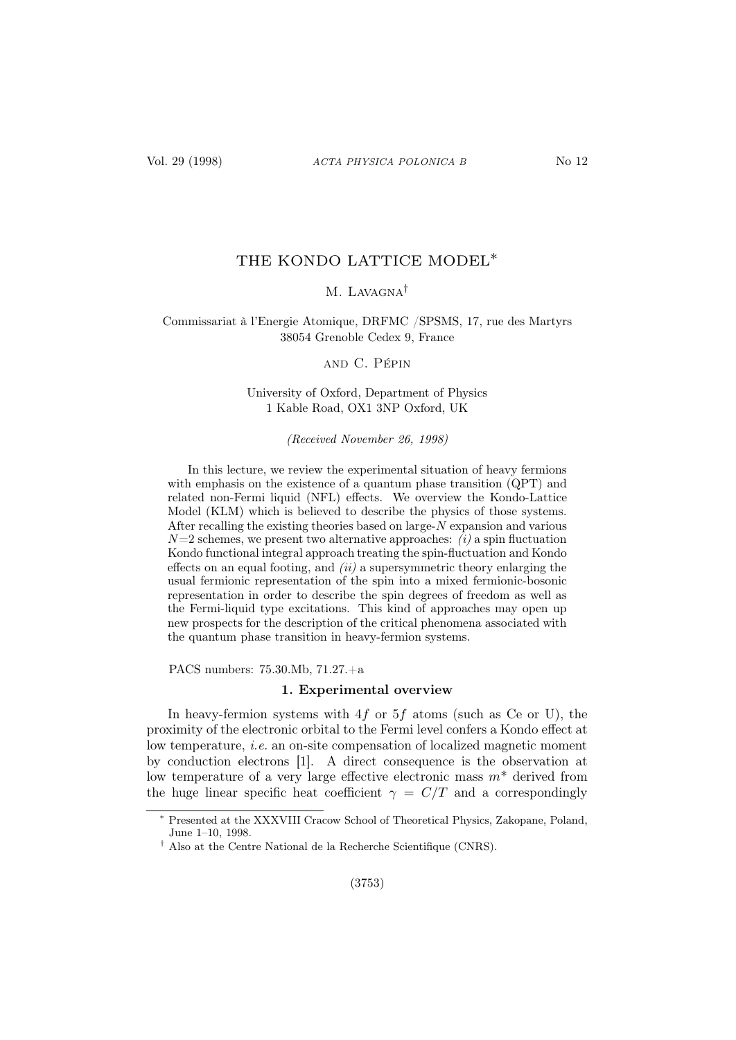# THE KONDO LATTICE MODEL∗

# M. LAVAGNA<sup>†</sup>

# Commissariat à l'Energie Atomique, DRFMC /SPSMS, 17, rue des Martyrs 38054 Grenoble Cedex 9, France

and C. Pépin

# University of Oxford, Department of Physics 1 Kable Road, OX1 3NP Oxford, UK

(Received November 26, 1998)

In this lecture, we review the experimental situation of heavy fermions with emphasis on the existence of a quantum phase transition (QPT) and related non-Fermi liquid (NFL) effects. We overview the Kondo-Lattice Model (KLM) which is believed to describe the physics of those systems. After recalling the existing theories based on large-N expansion and various  $N=2$  schemes, we present two alternative approaches: *(i)* a spin fluctuation Kondo functional integral approach treating the spin-fluctuation and Kondo effects on an equal footing, and  $(ii)$  a supersymmetric theory enlarging the usual fermionic representation of the spin into a mixed fermionic-bosonic representation in order to describe the spin degrees of freedom as well as the Fermi-liquid type excitations. This kind of approaches may open up new prospects for the description of the critical phenomena associated with the quantum phase transition in heavy-fermion systems.

PACS numbers: 75.30.Mb, 71.27.+a

#### 1. Experimental overview

In heavy-fermion systems with  $4f$  or  $5f$  atoms (such as Ce or U), the proximity of the electronic orbital to the Fermi level confers a Kondo effect at low temperature, i.e. an on-site compensation of localized magnetic moment by conduction electrons [1]. A direct consequence is the observation at low temperature of a very large effective electronic mass  $m^*$  derived from the huge linear specific heat coefficient  $\gamma = C/T$  and a correspondingly

<sup>∗</sup> Presented at the XXXVIII Cracow School of Theoretical Physics, Zakopane, Poland, June 1–10, 1998.

<sup>†</sup> Also at the Centre National de la Recherche Scientifique (CNRS).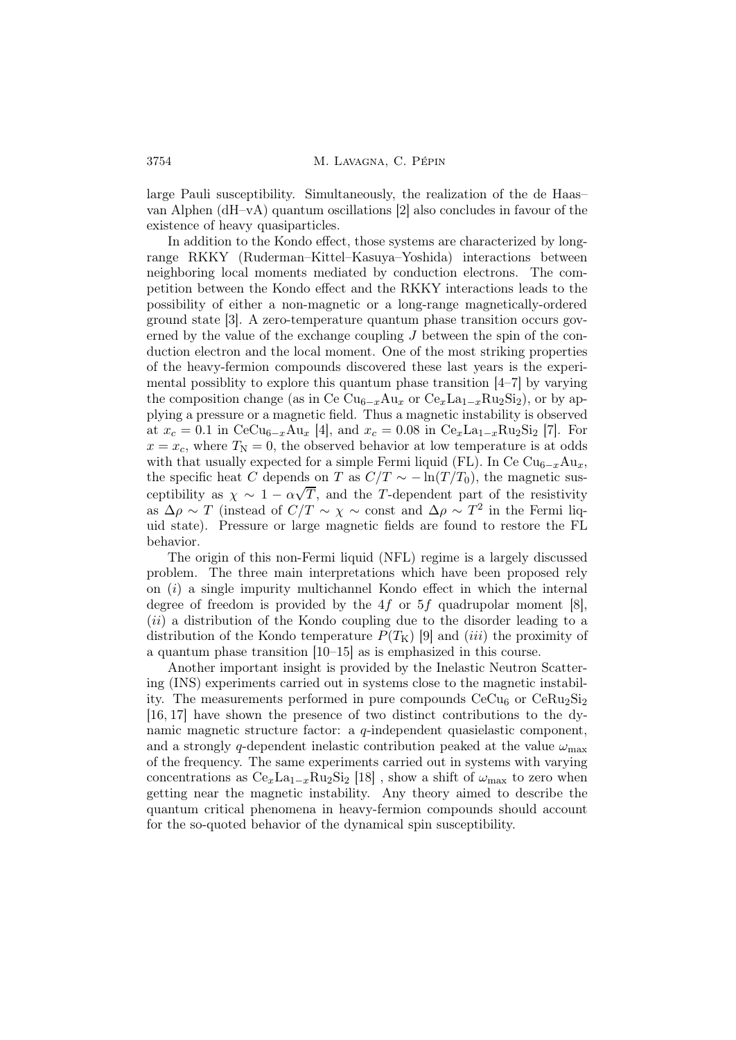large Pauli susceptibility. Simultaneously, the realization of the de Haas– van Alphen (dH–vA) quantum oscillations [2] also concludes in favour of the existence of heavy quasiparticles.

In addition to the Kondo effect, those systems are characterized by longrange RKKY (Ruderman–Kittel–Kasuya–Yoshida) interactions between neighboring local moments mediated by conduction electrons. The competition between the Kondo effect and the RKKY interactions leads to the possibility of either a non-magnetic or a long-range magnetically-ordered ground state [3]. A zero-temperature quantum phase transition occurs governed by the value of the exchange coupling  $J$  between the spin of the conduction electron and the local moment. One of the most striking properties of the heavy-fermion compounds discovered these last years is the experimental possiblity to explore this quantum phase transition [4–7] by varying the composition change (as in Ce  $Cu_{6-x}Au_x$  or  $Ce_xLa_{1-x}Ru_2Si_2$ ), or by applying a pressure or a magnetic field. Thus a magnetic instability is observed at  $x_c = 0.1$  in CeCu<sub>6−x</sub>Au<sub>x</sub> [4], and  $x_c = 0.08$  in Ce<sub>x</sub>La<sub>1−x</sub>Ru<sub>2</sub>Si<sub>2</sub> [7]. For  $x = x_c$ , where  $T<sub>N</sub> = 0$ , the observed behavior at low temperature is at odds with that usually expected for a simple Fermi liquid (FL). In Ce  $\text{Cu}_{6-x}\text{Au}_x$ , the specific heat C depends on T as  $C/T \sim -\ln(T/T_0)$ , the magnetic susceptibility as  $\chi \sim 1 - \alpha \sqrt{T}$ , and the T-dependent part of the resistivity as  $\Delta \rho \sim T$  (instead of  $C/T \sim \chi \sim \text{const}$  and  $\Delta \rho \sim T^2$  in the Fermi liquid state). Pressure or large magnetic fields are found to restore the FL behavior.

The origin of this non-Fermi liquid (NFL) regime is a largely discussed problem. The three main interpretations which have been proposed rely on  $(i)$  a single impurity multichannel Kondo effect in which the internal degree of freedom is provided by the  $4f$  or  $5f$  quadrupolar moment [8], (*ii*) a distribution of the Kondo coupling due to the disorder leading to a distribution of the Kondo temperature  $P(T_K)$  [9] and *(iii)* the proximity of a quantum phase transition [10–15] as is emphasized in this course.

Another important insight is provided by the Inelastic Neutron Scattering (INS) experiments carried out in systems close to the magnetic instability. The measurements performed in pure compounds  $CeCu<sub>6</sub>$  or  $CeRu<sub>2</sub>Si<sub>2</sub>$ [16, 17] have shown the presence of two distinct contributions to the dynamic magnetic structure factor: a q-independent quasielastic component, and a strongly q-dependent inelastic contribution peaked at the value  $\omega_{\text{max}}$ of the frequency. The same experiments carried out in systems with varying concentrations as  $Ce_x La_{1-x}Ru_2Si_2$  [18], show a shift of  $\omega_{\text{max}}$  to zero when getting near the magnetic instability. Any theory aimed to describe the quantum critical phenomena in heavy-fermion compounds should account for the so-quoted behavior of the dynamical spin susceptibility.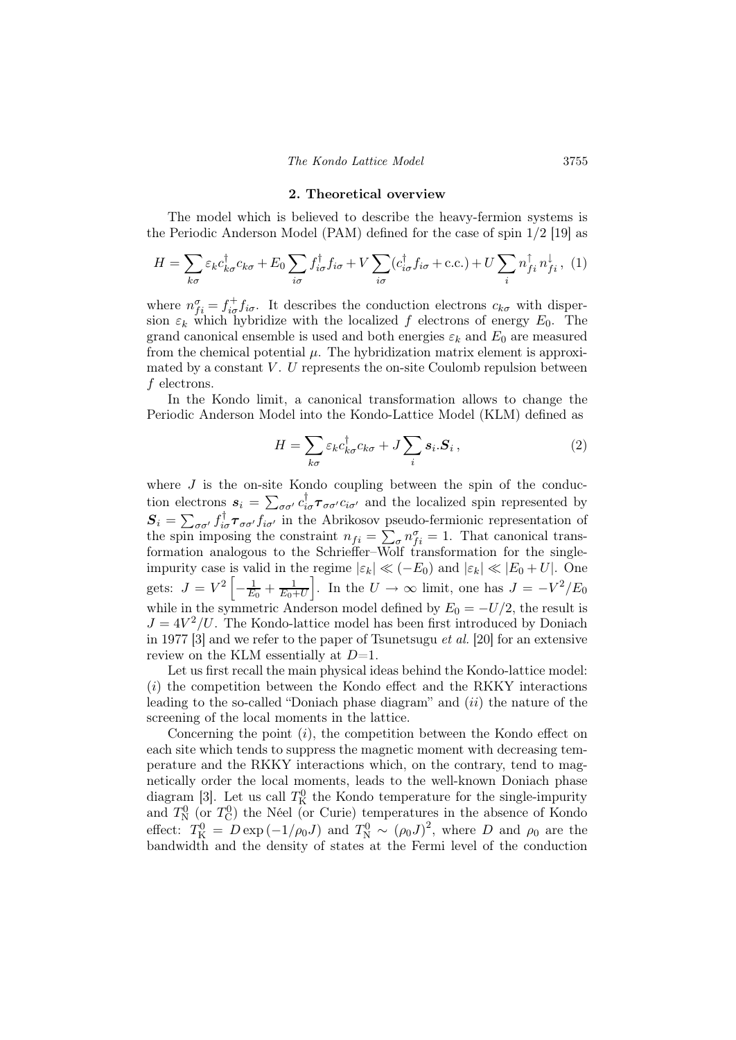#### 2. Theoretical overview

The model which is believed to describe the heavy-fermion systems is the Periodic Anderson Model (PAM) defined for the case of spin 1/2 [19] as

$$
H = \sum_{k\sigma} \varepsilon_k c_{k\sigma}^{\dagger} c_{k\sigma} + E_0 \sum_{i\sigma} f_{i\sigma}^{\dagger} f_{i\sigma} + V \sum_{i\sigma} (c_{i\sigma}^{\dagger} f_{i\sigma} + \text{c.c.}) + U \sum_{i} n_{fi}^{\dagger} n_{fi}^{\dagger}, (1)
$$

where  $n_{fi}^{\sigma} = f_{i\sigma}^{+} f_{i\sigma}$ . It describes the conduction electrons  $c_{k\sigma}$  with dispersion  $\varepsilon_k$  which hybridize with the localized f electrons of energy  $E_0$ . The grand canonical ensemble is used and both energies  $\varepsilon_k$  and  $E_0$  are measured from the chemical potential  $\mu$ . The hybridization matrix element is approximated by a constant  $V$ . U represents the on-site Coulomb repulsion between f electrons.

In the Kondo limit, a canonical transformation allows to change the Periodic Anderson Model into the Kondo-Lattice Model (KLM) defined as

$$
H = \sum_{k\sigma} \varepsilon_k c_{k\sigma}^\dagger c_{k\sigma} + J \sum_i s_i \cdot S_i , \qquad (2)
$$

where  $J$  is the on-site Kondo coupling between the spin of the conduction electrons  $s_i = \sum_{\sigma\sigma'} c_{i\sigma}^\dagger \tau_{\sigma\sigma'} c_{i\sigma'}$  and the localized spin represented by  $S_i = \sum_{\sigma\sigma'} f_{i\sigma}^\dagger \tau_{\sigma\sigma'} f_{i\sigma'}$  in the Abrikosov pseudo-fermionic representation of the spin imposing the constraint  $n_{fi} = \sum_{\sigma} n_{fi}^{\sigma} = 1$ . That canonical transformation analogous to the Schrieffer–Wolf transformation for the singleimpurity case is valid in the regime  $|\varepsilon_k| \ll (-E_0)$  and  $|\varepsilon_k| \ll |E_0 + U|$ . One gets:  $J = V^2 \left[ -\frac{1}{E_0} + \frac{1}{E_0 + U} \right]$ . In the  $U \rightarrow \infty$  limit, one has  $J = -V^2/E_0$ while in the symmetric Anderson model defined by  $E_0 = -U/2$ , the result is  $J = 4V^2/U$ . The Kondo-lattice model has been first introduced by Doniach in 1977 [3] and we refer to the paper of Tsunetsugu et al. [20] for an extensive review on the KLM essentially at  $D=1$ .

Let us first recall the main physical ideas behind the Kondo-lattice model:  $(i)$  the competition between the Kondo effect and the RKKY interactions leading to the so-called "Doniach phase diagram" and *(ii)* the nature of the screening of the local moments in the lattice.

Concerning the point  $(i)$ , the competition between the Kondo effect on each site which tends to suppress the magnetic moment with decreasing temperature and the RKKY interactions which, on the contrary, tend to magnetically order the local moments, leads to the well-known Doniach phase diagram [3]. Let us call  $T_K^0$  the Kondo temperature for the single-impurity and  $T_N^0$  (or  $T_C^0$ ) the Néel (or Curie) temperatures in the absence of Kondo effect:  $T_{\rm K}^0 = D \exp(-1/\rho_0 J)$  and  $T_{\rm N}^0 \sim (\rho_0 J)^2$ , where D and  $\rho_0$  are the bandwidth and the density of states at the Fermi level of the conduction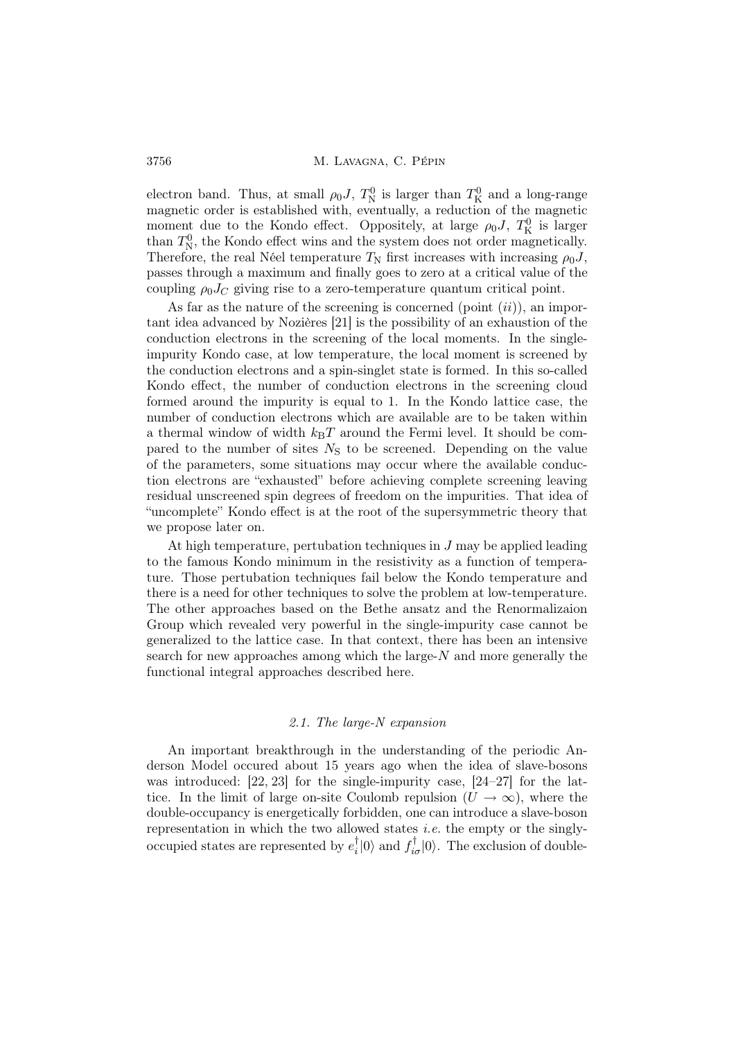electron band. Thus, at small  $\rho_0 J$ ,  $T_N^0$  is larger than  $T_K^0$  and a long-range magnetic order is established with, eventually, a reduction of the magnetic moment due to the Kondo effect. Oppositely, at large  $\rho_0 J$ ,  $T_K^0$  is larger than  $T_N^0$ , the Kondo effect wins and the system does not order magnetically. Therefore, the real Néel temperature  $T_N$  first increases with increasing  $\rho_0 J$ , passes through a maximum and finally goes to zero at a critical value of the coupling  $\rho_0 J_C$  giving rise to a zero-temperature quantum critical point.

As far as the nature of the screening is concerned (point  $(ii)$ ), an important idea advanced by Nozières [21] is the possibility of an exhaustion of the conduction electrons in the screening of the local moments. In the singleimpurity Kondo case, at low temperature, the local moment is screened by the conduction electrons and a spin-singlet state is formed. In this so-called Kondo effect, the number of conduction electrons in the screening cloud formed around the impurity is equal to 1. In the Kondo lattice case, the number of conduction electrons which are available are to be taken within a thermal window of width  $k_BT$  around the Fermi level. It should be compared to the number of sites  $N<sub>S</sub>$  to be screened. Depending on the value of the parameters, some situations may occur where the available conduction electrons are "exhausted" before achieving complete screening leaving residual unscreened spin degrees of freedom on the impurities. That idea of "uncomplete" Kondo effect is at the root of the supersymmetric theory that we propose later on.

At high temperature, pertubation techniques in  $J$  may be applied leading to the famous Kondo minimum in the resistivity as a function of temperature. Those pertubation techniques fail below the Kondo temperature and there is a need for other techniques to solve the problem at low-temperature. The other approaches based on the Bethe ansatz and the Renormalizaion Group which revealed very powerful in the single-impurity case cannot be generalized to the lattice case. In that context, there has been an intensive search for new approaches among which the large- $N$  and more generally the functional integral approaches described here.

### 2.1. The large-N expansion

An important breakthrough in the understanding of the periodic Anderson Model occured about 15 years ago when the idea of slave-bosons was introduced: [22, 23] for the single-impurity case, [24–27] for the lattice. In the limit of large on-site Coulomb repulsion  $(U \to \infty)$ , where the double-occupancy is energetically forbidden, one can introduce a slave-boson representation in which the two allowed states *i.e.* the empty or the singlyoccupied states are represented by  $e_i^{\dagger}$  $\phi_i^{\dagger}|0\rangle$  and  $f_{i\sigma}^{\dagger}|0\rangle$ . The exclusion of double-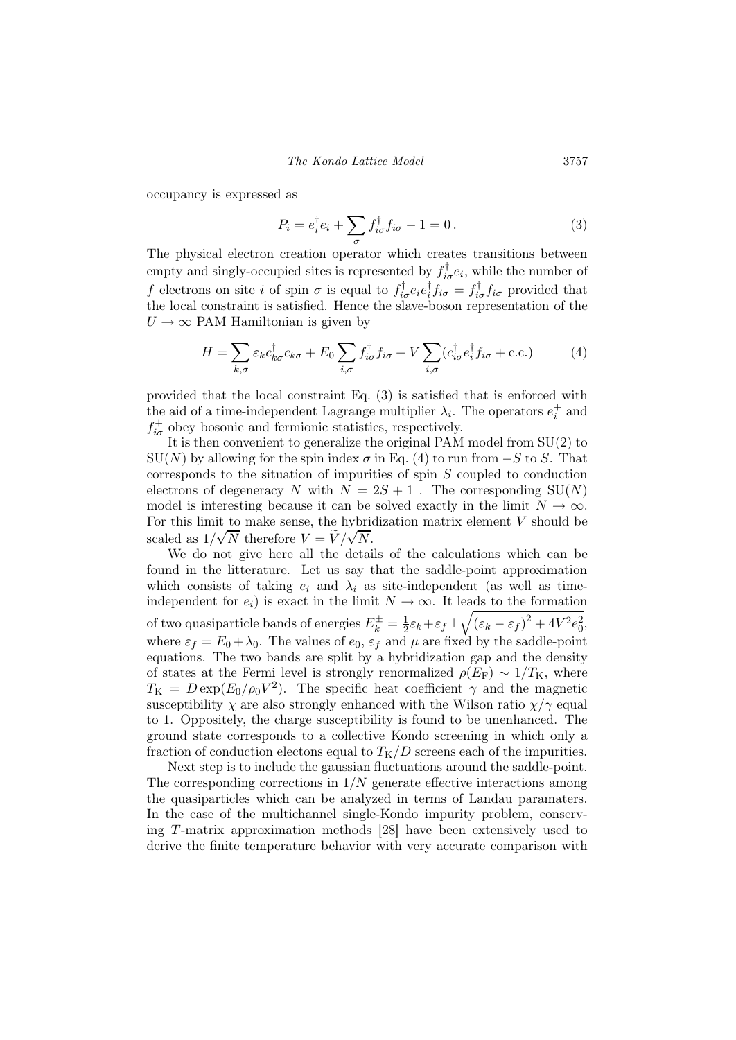occupancy is expressed as

$$
P_i = e_i^{\dagger} e_i + \sum_{\sigma} f_{i\sigma}^{\dagger} f_{i\sigma} - 1 = 0.
$$
 (3)

The physical electron creation operator which creates transitions between empty and singly-occupied sites is represented by  $f_{i\sigma}^{\dagger}e_i$ , while the number of f electrons on site *i* of spin  $\sigma$  is equal to  $f_{i\sigma}^{\dagger}e_{i}e_{i}^{\dagger}$  $\int_{i}^{\dagger} f_{i\sigma} = f_{i\sigma}^{\dagger} f_{i\sigma}$  provided that the local constraint is satisfied. Hence the slave-boson representation of the  $U \rightarrow \infty$  PAM Hamiltonian is given by

$$
H = \sum_{k,\sigma} \varepsilon_k c_{k\sigma}^\dagger c_{k\sigma} + E_0 \sum_{i,\sigma} f_{i\sigma}^\dagger f_{i\sigma} + V \sum_{i,\sigma} (c_{i\sigma}^\dagger e_i^\dagger f_{i\sigma} + \text{c.c.}) \tag{4}
$$

provided that the local constraint Eq. (3) is satisfied that is enforced with the aid of a time-independent Lagrange multiplier  $\lambda_i$ . The operators  $e_i^+$  and  $f^+_{i\sigma}$  obey bosonic and fermionic statistics, respectively.

It is then convenient to generalize the original PAM model from SU(2) to  $\text{SU}(N)$  by allowing for the spin index  $\sigma$  in Eq. (4) to run from  $-S$  to S. That corresponds to the situation of impurities of spin S coupled to conduction electrons of degeneracy N with  $N = 2S + 1$ . The corresponding  $SU(N)$ model is interesting because it can be solved exactly in the limit  $N \to \infty$ . For this limit to make sense, the hybridization matrix element  $V$  should be scaled as  $1/\sqrt{N}$  therefore  $V = \tilde{V}/\sqrt{N}$ .

We do not give here all the details of the calculations which can be found in the litterature. Let us say that the saddle-point approximation which consists of taking  $e_i$  and  $\lambda_i$  as site-independent (as well as timeindependent for  $e_i$ ) is exact in the limit  $N \to \infty$ . It leads to the formation of two quasiparticle bands of energies  $E_k^{\pm} = \frac{1}{2} \varepsilon_k + \varepsilon_f \pm \sqrt{(\varepsilon_k - \varepsilon_f)^2 + 4V^2 e_0^2}$ , where  $\varepsilon_f = E_0 + \lambda_0$ . The values of  $e_0$ ,  $\varepsilon_f$  and  $\mu$  are fixed by the saddle-point equations. The two bands are split by a hybridization gap and the density of states at the Fermi level is strongly renormalized  $\rho(E_F) \sim 1/T_K$ , where  $T_{\rm K} = D \exp(E_0/\rho_0 V^2)$ . The specific heat coefficient  $\gamma$  and the magnetic susceptibility  $\chi$  are also strongly enhanced with the Wilson ratio  $\chi/\gamma$  equal to 1. Oppositely, the charge susceptibility is found to be unenhanced. The ground state corresponds to a collective Kondo screening in which only a fraction of conduction electons equal to  $T_K/D$  screens each of the impurities.

Next step is to include the gaussian fluctuations around the saddle-point. The corresponding corrections in  $1/N$  generate effective interactions among the quasiparticles which can be analyzed in terms of Landau paramaters. In the case of the multichannel single-Kondo impurity problem, conserving T-matrix approximation methods [28] have been extensively used to derive the finite temperature behavior with very accurate comparison with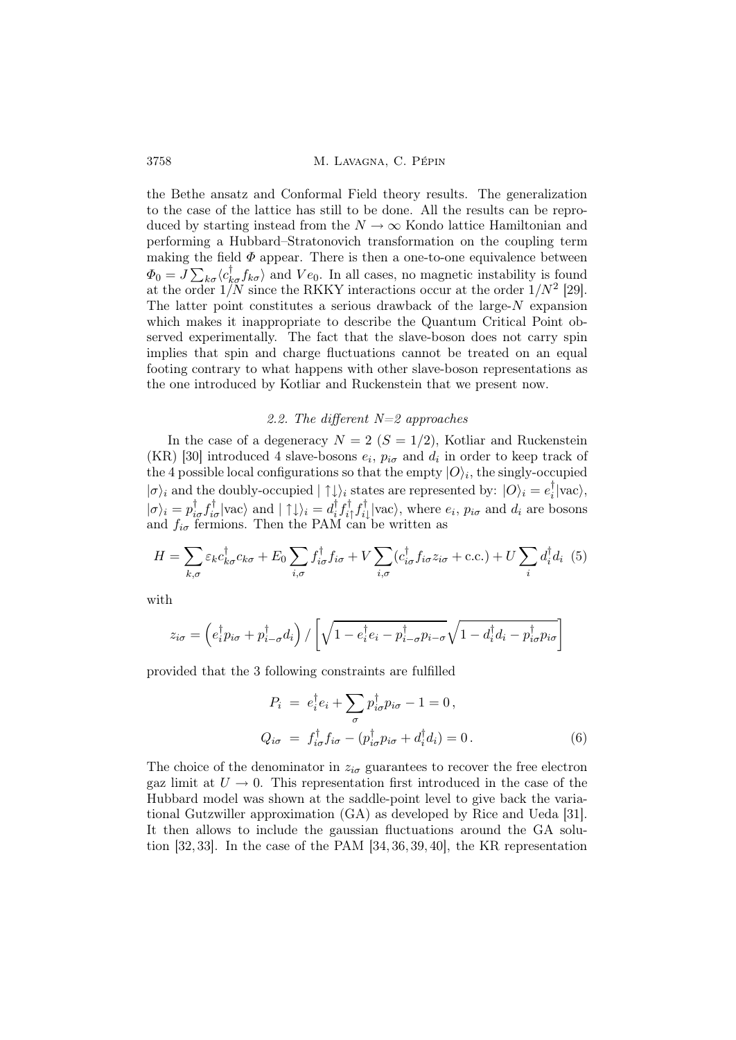the Bethe ansatz and Conformal Field theory results. The generalization to the case of the lattice has still to be done. All the results can be reproduced by starting instead from the  $N \to \infty$  Kondo lattice Hamiltonian and performing a Hubbard–Stratonovich transformation on the coupling term making the field  $\Phi$  appear. There is then a one-to-one equivalence between  $\Phi_0 = J \sum_{k\sigma} \langle c_{k\sigma}^{\dagger} f_{k\sigma} \rangle$  and  $Ve_0$ . In all cases, no magnetic instability is found at the order  $1/N$  since the RKKY interactions occur at the order  $1/N^2$  [29]. The latter point constitutes a serious drawback of the large- $N$  expansion which makes it inappropriate to describe the Quantum Critical Point observed experimentally. The fact that the slave-boson does not carry spin implies that spin and charge fluctuations cannot be treated on an equal footing contrary to what happens with other slave-boson representations as the one introduced by Kotliar and Ruckenstein that we present now.

### 2.2. The different  $N=2$  approaches

In the case of a degeneracy  $N = 2$  ( $S = 1/2$ ), Kotliar and Ruckenstein  $(KR)$  [30] introduced 4 slave-bosons  $e_i$ ,  $p_{i\sigma}$  and  $d_i$  in order to keep track of the 4 possible local configurations so that the empty  $|O\rangle_i$ , the singly-occupied  $|\sigma\rangle_i$  and the doubly-occupied  $|\uparrow \downarrow\rangle_i$  states are represented by:  $|O\rangle_i = e_i^{\dagger}$  $\vert i \vert \text{vac} \rangle,$  $|\sigma\rangle_i = p_{i\sigma}^{\dagger} f_{i\sigma}^{\dagger} |\text{vac}\rangle \text{ and } |\uparrow \downarrow\rangle_i = d_i^{\dagger}$  $_{i}^{\dagger}f_{i}^{\dagger}$  $_{i\uparrow}^{\dagger}f_{i\downarrow}^{\dagger}$  $\mathcal{E}_{i\downarrow}^{\dagger}$  |vac $\rangle$ , where  $e_i$ ,  $p_{i\sigma}$  and  $d_i$  are bosons and  $f_{i\sigma}$  fermions. Then the PAM can be written as

$$
H = \sum_{k,\sigma} \varepsilon_k c_{k\sigma}^\dagger c_{k\sigma} + E_0 \sum_{i,\sigma} f_{i\sigma}^\dagger f_{i\sigma} + V \sum_{i,\sigma} (c_{i\sigma}^\dagger f_{i\sigma} z_{i\sigma} + \text{c.c.}) + U \sum_i d_i^\dagger d_i \tag{5}
$$

with

$$
z_{i\sigma} = \left(e_i^{\dagger} p_{i\sigma} + p_{i-\sigma}^{\dagger} d_i\right) / \left[\sqrt{1 - e_i^{\dagger} e_i - p_{i-\sigma}^{\dagger} p_{i-\sigma}} \sqrt{1 - d_i^{\dagger} d_i - p_{i\sigma}^{\dagger} p_{i\sigma}}\right]
$$

provided that the 3 following constraints are fulfilled

$$
P_i = e_i^{\dagger} e_i + \sum_{\sigma} p_{i\sigma}^{\dagger} p_{i\sigma} - 1 = 0,
$$
  
\n
$$
Q_{i\sigma} = f_{i\sigma}^{\dagger} f_{i\sigma} - (p_{i\sigma}^{\dagger} p_{i\sigma} + d_i^{\dagger} d_i) = 0.
$$
\n(6)

The choice of the denominator in  $z_{i\sigma}$  guarantees to recover the free electron gaz limit at  $U \rightarrow 0$ . This representation first introduced in the case of the Hubbard model was shown at the saddle-point level to give back the variational Gutzwiller approximation (GA) as developed by Rice and Ueda [31]. It then allows to include the gaussian fluctuations around the GA solution [32, 33]. In the case of the PAM [34, 36, 39, 40], the KR representation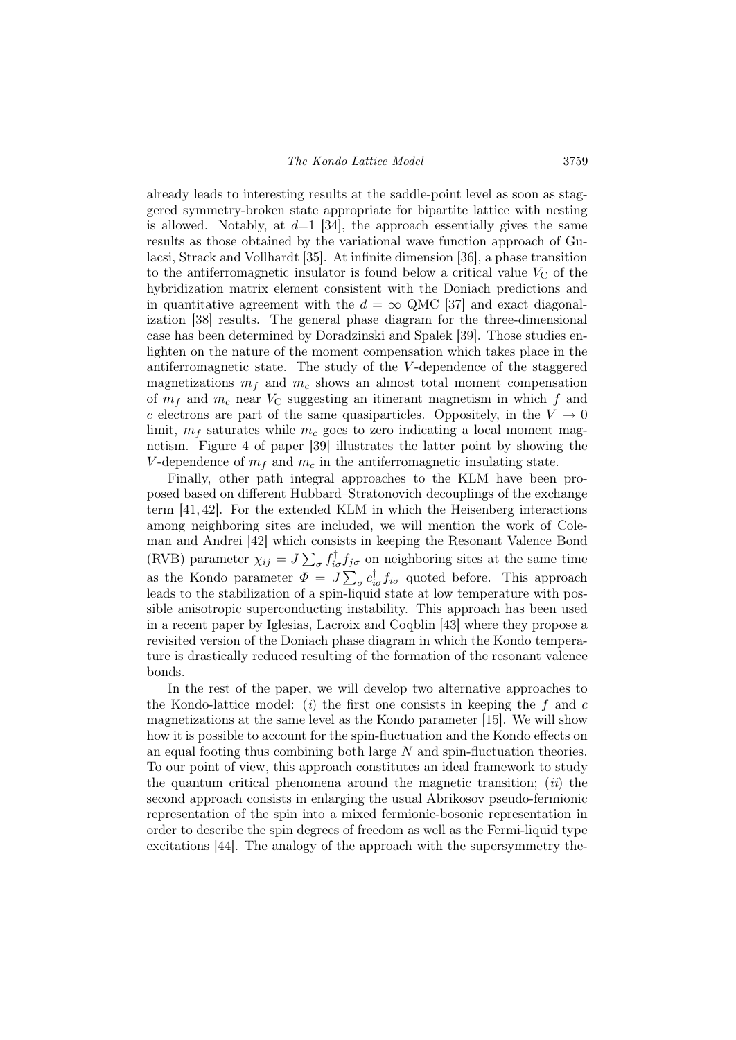already leads to interesting results at the saddle-point level as soon as staggered symmetry-broken state appropriate for bipartite lattice with nesting is allowed. Notably, at  $d=1$  [34], the approach essentially gives the same results as those obtained by the variational wave function approach of Gulacsi, Strack and Vollhardt [35]. At infinite dimension [36], a phase transition to the antiferromagnetic insulator is found below a critical value  $V_{\rm C}$  of the hybridization matrix element consistent with the Doniach predictions and in quantitative agreement with the  $d = \infty$  QMC [37] and exact diagonalization [38] results. The general phase diagram for the three-dimensional case has been determined by Doradzinski and Spalek [39]. Those studies enlighten on the nature of the moment compensation which takes place in the antiferromagnetic state. The study of the  $V$ -dependence of the staggered magnetizations  $m_f$  and  $m_c$  shows an almost total moment compensation of  $m_f$  and  $m_c$  near  $V_c$  suggesting an itinerant magnetism in which f and c electrons are part of the same quasiparticles. Oppositely, in the  $V \to 0$ limit,  $m_f$  saturates while  $m_c$  goes to zero indicating a local moment magnetism. Figure 4 of paper [39] illustrates the latter point by showing the V-dependence of  $m_f$  and  $m_c$  in the antiferromagnetic insulating state.

Finally, other path integral approaches to the KLM have been proposed based on different Hubbard–Stratonovich decouplings of the exchange term [41, 42]. For the extended KLM in which the Heisenberg interactions among neighboring sites are included, we will mention the work of Coleman and Andrei [42] which consists in keeping the Resonant Valence Bond (RVB) parameter  $\chi_{ij} = J \sum_{\sigma} f_{i\sigma}^{\dagger} f_{j\sigma}$  on neighboring sites at the same time as the Kondo parameter  $\Phi = J \sum_{\sigma} c_{i\sigma}^{\dagger} f_{i\sigma}$  quoted before. This approach leads to the stabilization of a spin-liquid state at low temperature with possible anisotropic superconducting instability. This approach has been used in a recent paper by Iglesias, Lacroix and Coqblin [43] where they propose a revisited version of the Doniach phase diagram in which the Kondo temperature is drastically reduced resulting of the formation of the resonant valence bonds.

In the rest of the paper, we will develop two alternative approaches to the Kondo-lattice model: (i) the first one consists in keeping the  $f$  and  $c$ magnetizations at the same level as the Kondo parameter [15]. We will show how it is possible to account for the spin-fluctuation and the Kondo effects on an equal footing thus combining both large  $N$  and spin-fluctuation theories. To our point of view, this approach constitutes an ideal framework to study the quantum critical phenomena around the magnetic transition;  $(ii)$  the second approach consists in enlarging the usual Abrikosov pseudo-fermionic representation of the spin into a mixed fermionic-bosonic representation in order to describe the spin degrees of freedom as well as the Fermi-liquid type excitations [44]. The analogy of the approach with the supersymmetry the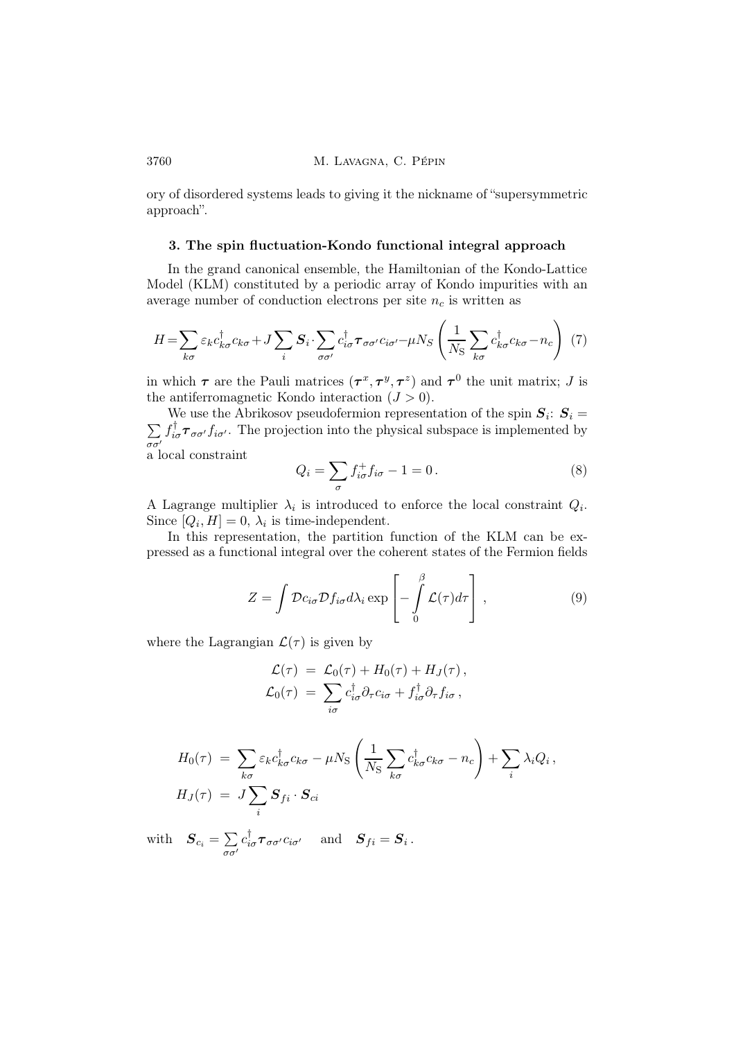ory of disordered systems leads to giving it the nickname of "supersymmetric approach".

### 3. The spin fluctuation-Kondo functional integral approach

In the grand canonical ensemble, the Hamiltonian of the Kondo-Lattice Model (KLM) constituted by a periodic array of Kondo impurities with an average number of conduction electrons per site  $n_c$  is written as

$$
H = \sum_{k\sigma} \varepsilon_k c_{k\sigma}^\dagger c_{k\sigma} + J \sum_i \mathbf{S}_i \cdot \sum_{\sigma\sigma'} c_{i\sigma}^\dagger \boldsymbol{\tau}_{\sigma\sigma'} c_{i\sigma'} - \mu N_S \left( \frac{1}{N_S} \sum_{k\sigma} c_{k\sigma}^\dagger c_{k\sigma} - n_c \right) (7)
$$

in which  $\tau$  are the Pauli matrices  $(\tau^x, \tau^y, \tau^z)$  and  $\tau^0$  the unit matrix; J is the antiferromagnetic Kondo interaction  $(J > 0)$ .

We use the Abrikosov pseudofermion representation of the spin  $S_i$ :  $S_i$  =  $\sum$ σσ′  $f_{i\sigma}^{\dagger} \tau_{\sigma\sigma'} f_{i\sigma'}$ . The projection into the physical subspace is implemented by a local constraint

$$
Q_i = \sum_{\sigma} f_{i\sigma}^+ f_{i\sigma} - 1 = 0.
$$
 (8)

.<br>
.

A Lagrange multiplier  $\lambda_i$  is introduced to enforce the local constraint  $Q_i$ . Since  $[Q_i, H] = 0$ ,  $\lambda_i$  is time-independent.

In this representation, the partition function of the KLM can be expressed as a functional integral over the coherent states of the Fermion fields

$$
Z = \int \mathcal{D}c_{i\sigma} \mathcal{D}f_{i\sigma} d\lambda_i \exp\left[-\int\limits_0^\beta \mathcal{L}(\tau) d\tau\right],\tag{9}
$$

where the Lagrangian  $\mathcal{L}(\tau)$  is given by

$$
\mathcal{L}(\tau) = \mathcal{L}_0(\tau) + H_0(\tau) + H_J(\tau), \n\mathcal{L}_0(\tau) = \sum_{i\sigma} c_{i\sigma}^\dagger \partial_\tau c_{i\sigma} + f_{i\sigma}^\dagger \partial_\tau f_{i\sigma},
$$

$$
H_0(\tau) = \sum_{k\sigma} \varepsilon_k c_{k\sigma}^\dagger c_{k\sigma} - \mu N_S \left( \frac{1}{N_S} \sum_{k\sigma} c_{k\sigma}^\dagger c_{k\sigma} - n_c \right) + \sum_i \lambda_i Q_i,
$$
  

$$
H_J(\tau) = J \sum_i \mathbf{S}_{fi} \cdot \mathbf{S}_{ci}
$$

with  $S_{c_i} = \sum$ σσ′  $c_{i\sigma}^{\dagger} \boldsymbol{\tau}_{\sigma\sigma'} c_{i\sigma'} \quad \text{ and } \quad \boldsymbol{S}_{fi} = \boldsymbol{S}_i \, .$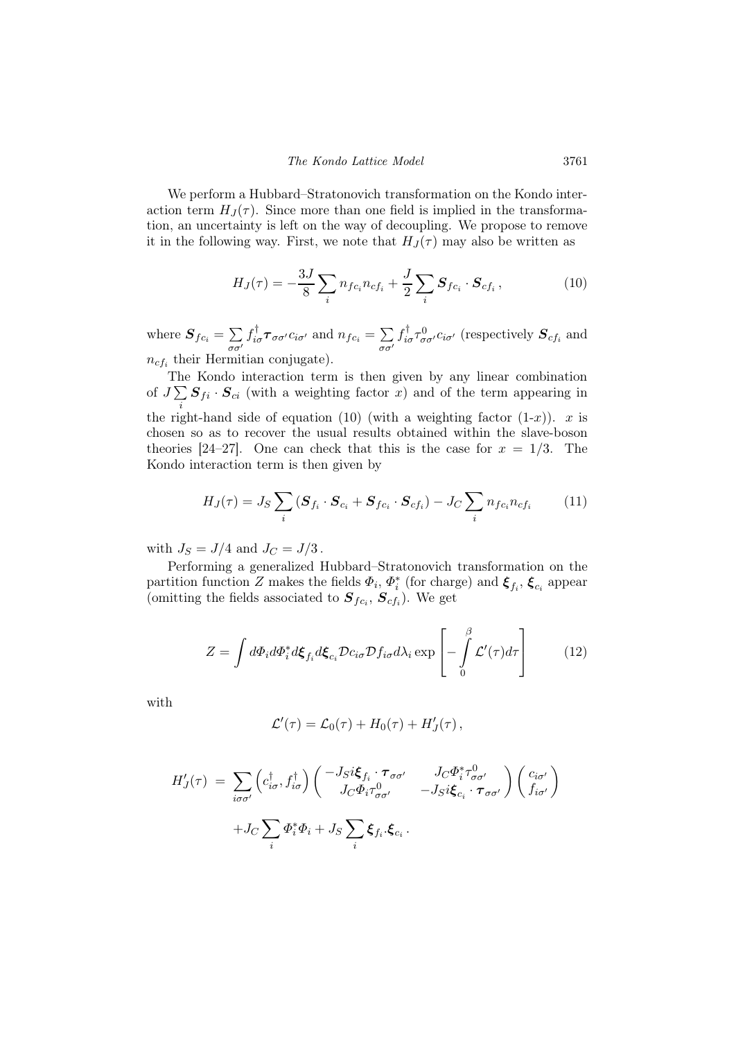We perform a Hubbard–Stratonovich transformation on the Kondo interaction term  $H_J(\tau)$ . Since more than one field is implied in the transformation, an uncertainty is left on the way of decoupling. We propose to remove it in the following way. First, we note that  $H_J(\tau)$  may also be written as

$$
H_J(\tau) = -\frac{3J}{8} \sum_i n_{fc_i} n_{cf_i} + \frac{J}{2} \sum_i \mathbf{S}_{fc_i} \cdot \mathbf{S}_{cf_i} , \qquad (10)
$$

where  $S_{fc_i} = \sum$ σσ′  $f^{\dagger}_{i\sigma} \boldsymbol{\tau}_{\sigma\sigma'} c_{i\sigma'}$  and  $n_{fc_i} = \sum_i$ σσ′  $f^{\dagger}_{i\sigma}\tau^{0}_{\sigma\sigma'}c_{i\sigma'}$  (respectively  $\boldsymbol{S}_{cf_i}$  and  $n_{cf_i}$  their Hermitian conjugate).

The Kondo interaction term is then given by any linear combination of  $J\sum_{i}$   $S_{fi}$   $\cdot$   $S_{ci}$  (with a weighting factor x) and of the term appearing in i the right-hand side of equation (10) (with a weighting factor  $(1-x)$ ). x is chosen so as to recover the usual results obtained within the slave-boson theories [24–27]. One can check that this is the case for  $x = 1/3$ . The Kondo interaction term is then given by

$$
H_J(\tau) = J_S \sum_i (\mathbf{S}_{f_i} \cdot \mathbf{S}_{c_i} + \mathbf{S}_{f c_i} \cdot \mathbf{S}_{c f_i}) - J_C \sum_i n_{f c_i} n_{c f_i} \tag{11}
$$

with  $J_S = J/4$  and  $J_C = J/3$ .

Performing a generalized Hubbard–Stratonovich transformation on the partition function Z makes the fields  $\Phi_i$ ,  $\Phi_i^*$  (for charge) and  $\xi_{f_i}$ ,  $\xi_{c_i}$  appear (omitting the fields associated to  $S_{fc_i}, S_{cf_i}$ ). We get

$$
Z = \int d\Phi_i d\Phi_i^* d\xi_{f_i} d\xi_{c_i} \mathcal{D} c_{i\sigma} \mathcal{D} f_{i\sigma} d\lambda_i \exp\left[-\int\limits_0^\beta \mathcal{L}'(\tau) d\tau\right]
$$
(12)

with

$$
\mathcal{L}'(\tau) = \mathcal{L}_0(\tau) + H_0(\tau) + H'_J(\tau) ,
$$

$$
H'_{J}(\tau) = \sum_{i\sigma\sigma'} \left( c_{i\sigma}^{\dagger}, f_{i\sigma}^{\dagger} \right) \begin{pmatrix} -J_{S}i\xi_{f_{i}} \cdot \tau_{\sigma\sigma'} & J_{C}\Phi_{i}^{*}\tau_{\sigma\sigma'}^{0} \\ J_{C}\Phi_{i}\tau_{\sigma\sigma'}^{0} & -J_{S}i\xi_{c_{i}} \cdot \tau_{\sigma\sigma'} \end{pmatrix} \begin{pmatrix} c_{i\sigma'} \\ f_{i\sigma'} \end{pmatrix}
$$

$$
+ J_{C} \sum_{i} \Phi_{i}^{*}\Phi_{i} + J_{S} \sum_{i} \xi_{f_{i}} \cdot \xi_{c_{i}}.
$$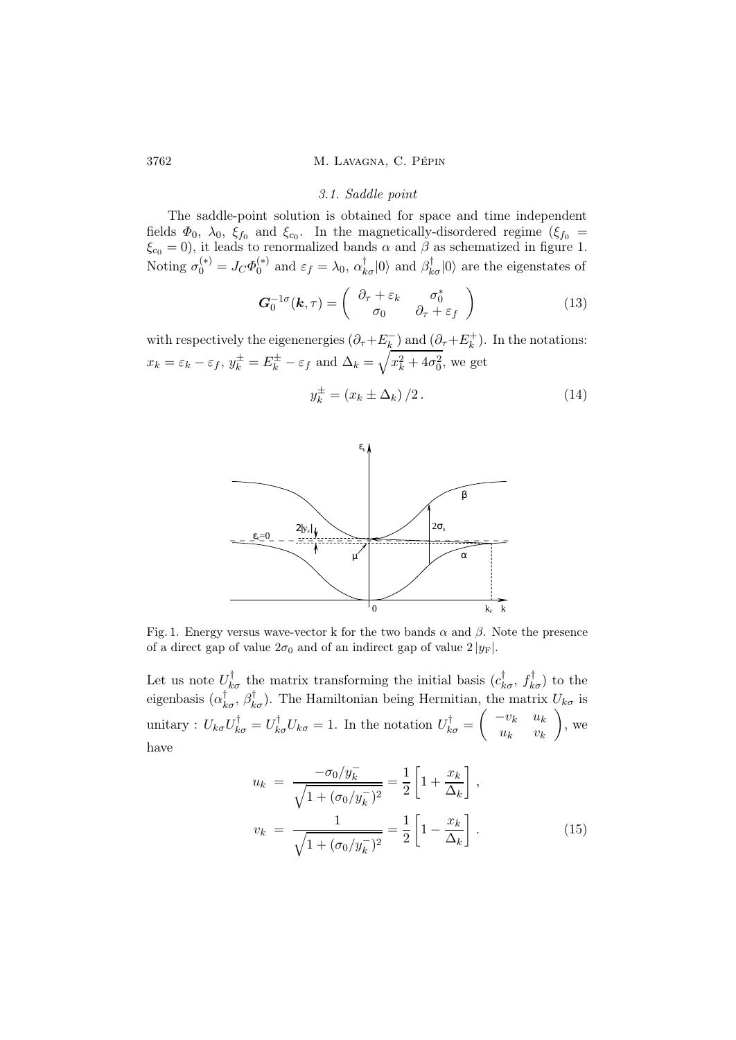#### 3.1. Saddle point

The saddle-point solution is obtained for space and time independent fields  $\Phi_0$ ,  $\lambda_0$ ,  $\xi_{f_0}$  and  $\xi_{c_0}$ . In the magnetically-disordered regime  $(\xi_{f_0} =$  $\xi_{c_0} = 0$ , it leads to renormalized bands  $\alpha$  and  $\beta$  as schematized in figure 1. Noting  $\sigma_0^{(*)} = J_C \Phi_0^{(*)}$ <sup>(\*)</sup> and  $\varepsilon_f = \lambda_0$ ,  $\alpha_{k\sigma}^{\dagger} |0\rangle$  and  $\beta_{k\sigma}^{\dagger} |0\rangle$  are the eigenstates of

$$
\boldsymbol{G}_0^{-1\sigma}(\boldsymbol{k},\tau) = \begin{pmatrix} \partial_\tau + \varepsilon_k & \sigma_0^* \\ \sigma_0 & \partial_\tau + \varepsilon_f \end{pmatrix}
$$
 (13)

with respectively the eigenenergies  $(\partial_{\tau} + E_k^-)$  $\binom{m}{k}$  and  $(\partial_{\tau} + E_k^+)$  $\binom{+}{k}$ . In the notations:  $x_k = \varepsilon_k - \varepsilon_f$ ,  $y_k^{\pm} = E_k^{\pm} - \varepsilon_f$  and  $\Delta_k = \sqrt{x_k^2 + 4\sigma_0^2}$ , we get

$$
y_k^{\pm} = (x_k \pm \Delta_k) / 2. \tag{14}
$$



Fig. 1. Energy versus wave-vector k for the two bands  $\alpha$  and  $\beta$ . Note the presence of a direct gap of value  $2\sigma_0$  and of an indirect gap of value  $2 |y_F|$ .

Let us note  $U_{k\sigma}^{\dagger}$  the matrix transforming the initial basis  $(c_{k\sigma}^{\dagger}, f_{k\sigma}^{\dagger})$  to the eigenbasis  $(\alpha_{k\sigma}^{\dagger}, \beta_{k\sigma}^{\dagger})$ . The Hamiltonian being Hermitian, the matrix  $U_{k\sigma}$  is unitary :  $U_{k\sigma}U_{k\sigma}^{\dagger} = U_{k\sigma}^{\dagger}U_{k\sigma} = 1$ . In the notation  $U_{k\sigma}^{\dagger} =$  $\begin{pmatrix} -v_k & u_k \end{pmatrix}$  $u_k$   $v_k$  $\setminus$ , we have

$$
u_k = \frac{-\sigma_0/y_k^-}{\sqrt{1 + (\sigma_0/y_k^-)^2}} = \frac{1}{2} \left[ 1 + \frac{x_k}{\Delta_k} \right],
$$
  

$$
v_k = \frac{1}{\sqrt{1 + (\sigma_0/y_k^-)^2}} = \frac{1}{2} \left[ 1 - \frac{x_k}{\Delta_k} \right].
$$
 (15)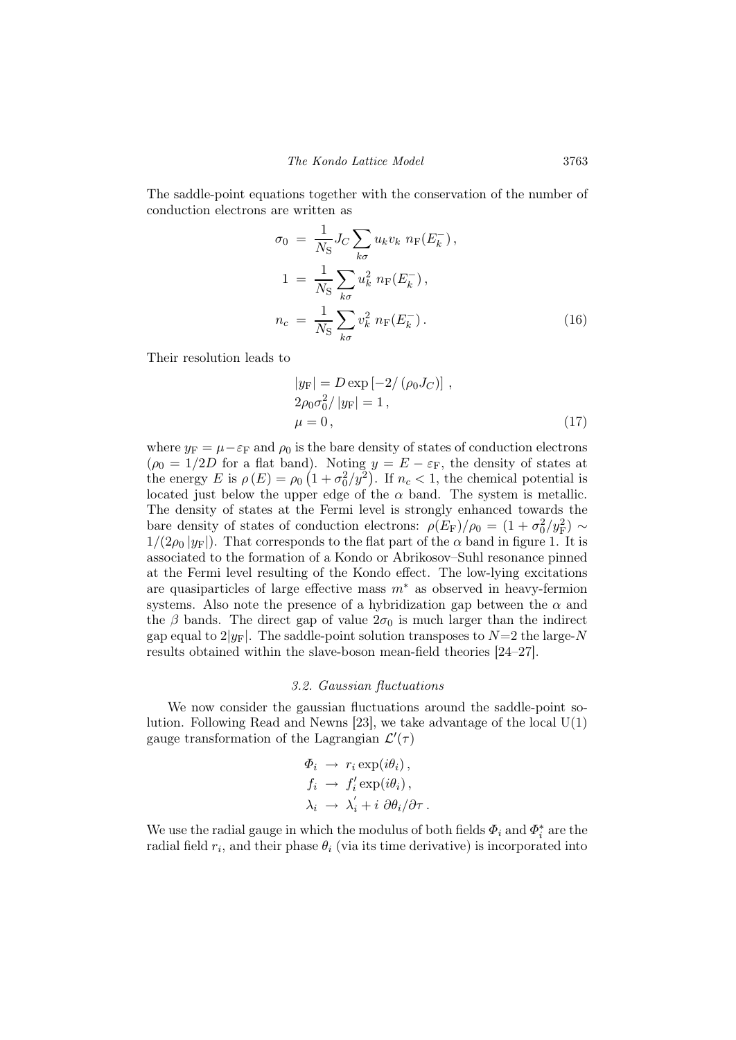The saddle-point equations together with the conservation of the number of conduction electrons are written as

$$
\sigma_0 = \frac{1}{N_S} J_C \sum_{k\sigma} u_k v_k n_F(E_k^-),
$$
  
\n
$$
1 = \frac{1}{N_S} \sum_{k\sigma} u_k^2 n_F(E_k^-),
$$
  
\n
$$
n_c = \frac{1}{N_S} \sum_{k\sigma} v_k^2 n_F(E_k^-).
$$
\n(16)

Their resolution leads to

$$
|y_{\mathcal{F}}| = D \exp[-2/(\rho_0 J_C)],
$$
  
2\rho\_0 \sigma\_0^2 / |y\_{\mathcal{F}}| = 1,  

$$
\mu = 0,
$$
 (17)

where  $y_F = \mu - \varepsilon_F$  and  $\rho_0$  is the bare density of states of conduction electrons  $(\rho_0 = 1/2D$  for a flat band). Noting  $y = E - \varepsilon_F$ , the density of states at the energy E is  $\rho(E) = \rho_0 \left(1 + \frac{\sigma_0^2}{y^2}\right)$ . If  $n_c < 1$ , the chemical potential is located just below the upper edge of the  $\alpha$  band. The system is metallic. The density of states at the Fermi level is strongly enhanced towards the bare density of states of conduction electrons:  $\rho(E_F)/\rho_0 = (1 + \sigma_0^2/y_F^2) \sim$  $1/(2\rho_0 |y_F|)$ . That corresponds to the flat part of the  $\alpha$  band in figure 1. It is associated to the formation of a Kondo or Abrikosov–Suhl resonance pinned at the Fermi level resulting of the Kondo effect. The low-lying excitations are quasiparticles of large effective mass  $m^*$  as observed in heavy-fermion systems. Also note the presence of a hybridization gap between the  $\alpha$  and the  $\beta$  bands. The direct gap of value  $2\sigma_0$  is much larger than the indirect gap equal to  $2|y_F|$ . The saddle-point solution transposes to  $N=2$  the large-N results obtained within the slave-boson mean-field theories [24–27].

#### 3.2. Gaussian fluctuations

We now consider the gaussian fluctuations around the saddle-point solution. Following Read and Newns [23], we take advantage of the local  $U(1)$ gauge transformation of the Lagrangian  $\mathcal{L}'(\tau)$ 

$$
\Phi_i \rightarrow r_i \exp(i\theta_i),
$$
  
\n
$$
f_i \rightarrow f'_i \exp(i\theta_i),
$$
  
\n
$$
\lambda_i \rightarrow \lambda'_i + i \partial \theta_i / \partial \tau.
$$

We use the radial gauge in which the modulus of both fields  $\Phi_i$  and  $\Phi_i^*$  are the radial field  $r_i$ , and their phase  $\theta_i$  (via its time derivative) is incorporated into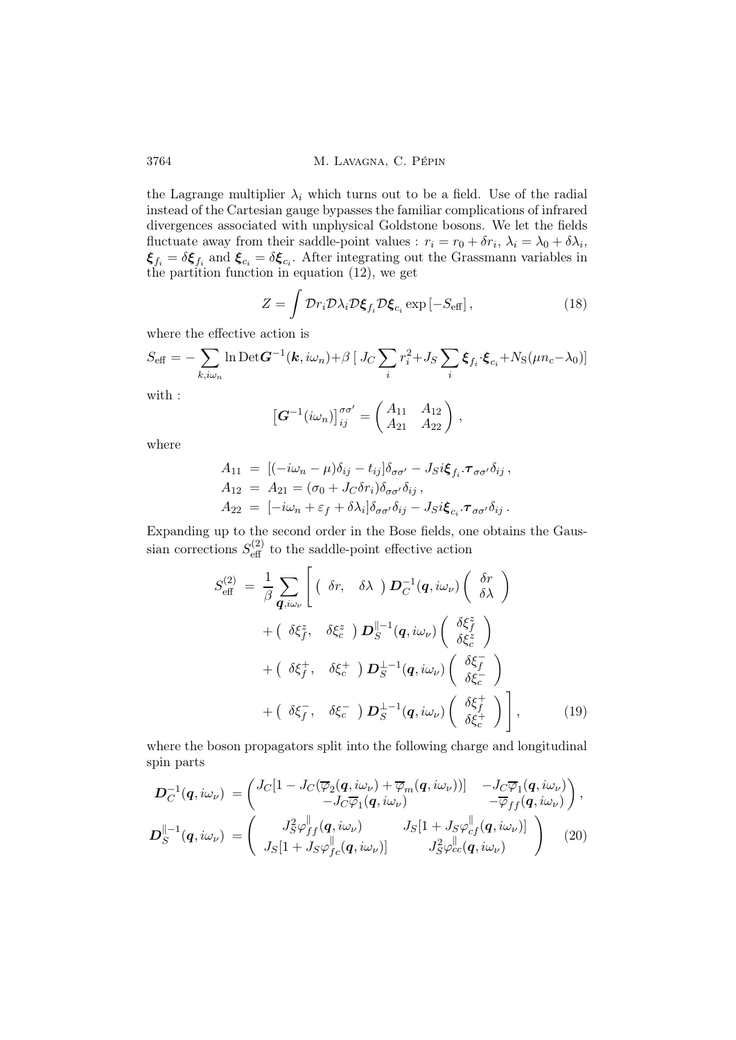the Lagrange multiplier  $\lambda_i$  which turns out to be a field. Use of the radial instead of the Cartesian gauge bypasses the familiar complications of infrared divergences associated with unphysical Goldstone bosons. We let the fields fluctuate away from their saddle-point values :  $r_i = r_0 + \delta r_i$ ,  $\lambda_i = \lambda_0 + \delta \lambda_i$ ,  $\xi_{f_i} = \delta \xi_{f_i}$  and  $\xi_{c_i} = \delta \xi_{c_i}$ . After integrating out the Grassmann variables in the partition function in equation (12), we get

$$
Z = \int \mathcal{D}r_i \mathcal{D}\lambda_i \mathcal{D}\xi_{f_i} \mathcal{D}\xi_{c_i} \exp\left[-S_{\text{eff}}\right],\tag{18}
$$

where the effective action is

$$
S_{\text{eff}} = -\sum_{k,i\omega_n} \ln \text{Det} \boldsymbol{G}^{-1}(\boldsymbol{k}, i\omega_n) + \beta \left[ J_C \sum_i r_i^2 + J_S \sum_i \boldsymbol{\xi}_{f_i} \cdot \boldsymbol{\xi}_{c_i} + N_S(\mu n_c - \lambda_0) \right]
$$

with :

$$
\left[\boldsymbol{G}^{-1}(i\omega_n)\right]_{ij}^{\sigma\sigma'}=\begin{pmatrix} A_{11} & A_{12} \\ A_{21} & A_{22} \end{pmatrix},
$$

where

$$
A_{11} = [(-i\omega_n - \mu)\delta_{ij} - t_{ij}]\delta_{\sigma\sigma'} - J_S i \boldsymbol{\xi}_{f_i} \cdot \boldsymbol{\tau}_{\sigma\sigma'} \delta_{ij},
$$
  
\n
$$
A_{12} = A_{21} = (\sigma_0 + J_C \delta r_i) \delta_{\sigma\sigma'} \delta_{ij},
$$
  
\n
$$
A_{22} = [-i\omega_n + \varepsilon_f + \delta \lambda_i] \delta_{\sigma\sigma'} \delta_{ij} - J_S i \boldsymbol{\xi}_{c_i} \cdot \boldsymbol{\tau}_{\sigma\sigma'} \delta_{ij}.
$$

Expanding up to the second order in the Bose fields, one obtains the Gaussian corrections  $S_{\text{eff}}^{(2)}$  to the saddle-point effective action

$$
S_{\text{eff}}^{(2)} = \frac{1}{\beta} \sum_{\mathbf{q},i\omega_{\nu}} \left[ \begin{array}{cc} (\delta r, & \delta \lambda) \mathbf{D}_{C}^{-1}(\mathbf{q},i\omega_{\nu}) \begin{pmatrix} \delta r \\ \delta \lambda \end{pmatrix} \right. \\ \left. + \begin{array}{cc} (\delta \xi_{f}^{z}, & \delta \xi_{c}^{z} \mathbf{D} \mathbf{D}_{S}^{||-1}(\mathbf{q},i\omega_{\nu}) \begin{pmatrix} \delta \xi_{f}^{z} \\ \delta \xi_{c}^{z} \end{pmatrix} \right. \\ \left. + \begin{array}{cc} (\delta \xi_{f}^{+}, & \delta \xi_{c}^{+} \mathbf{D} \mathbf{D}_{S}^{+-1}(\mathbf{q},i\omega_{\nu}) \begin{pmatrix} \delta \xi_{f}^{-} \\ \delta \xi_{c}^{-} \end{pmatrix} \right. \\ \left. + \begin{array}{cc} (\delta \xi_{f}^{-}, & \delta \xi_{c}^{-} \mathbf{D} \mathbf{D}_{S}^{+-1}(\mathbf{q},i\omega_{\nu}) \begin{pmatrix} \delta \xi_{f}^{+} \\ \delta \xi_{c}^{+} \end{pmatrix} \right], \end{array} \tag{19}
$$

where the boson propagators split into the following charge and longitudinal spin parts

$$
\mathbf{D}_{C}^{-1}(\mathbf{q}, i\omega_{\nu}) = \begin{pmatrix} J_{C}[1 - J_{C}(\overline{\varphi}_{2}(\mathbf{q}, i\omega_{\nu}) + \overline{\varphi}_{m}(\mathbf{q}, i\omega_{\nu}))] & -J_{C}\overline{\varphi}_{1}(\mathbf{q}, i\omega_{\nu}) \\ -J_{C}\overline{\varphi}_{1}(\mathbf{q}, i\omega_{\nu}) & -\overline{\varphi}_{ff}(\mathbf{q}, i\omega_{\nu}) \end{pmatrix},
$$

$$
\mathbf{D}_{S}^{\parallel -1}(\mathbf{q}, i\omega_{\nu}) = \begin{pmatrix} J_{S}^{2}\varphi_{ff}^{\parallel}(\mathbf{q}, i\omega_{\nu}) & J_{S}[1 + J_{S}\varphi_{cf}^{\parallel}(\mathbf{q}, i\omega_{\nu})] \\ J_{S}[1 + J_{S}\varphi_{fc}^{\parallel}(\mathbf{q}, i\omega_{\nu})] & J_{S}^{2}\varphi_{cc}^{\parallel}(\mathbf{q}, i\omega_{\nu}) \end{pmatrix} \tag{20}
$$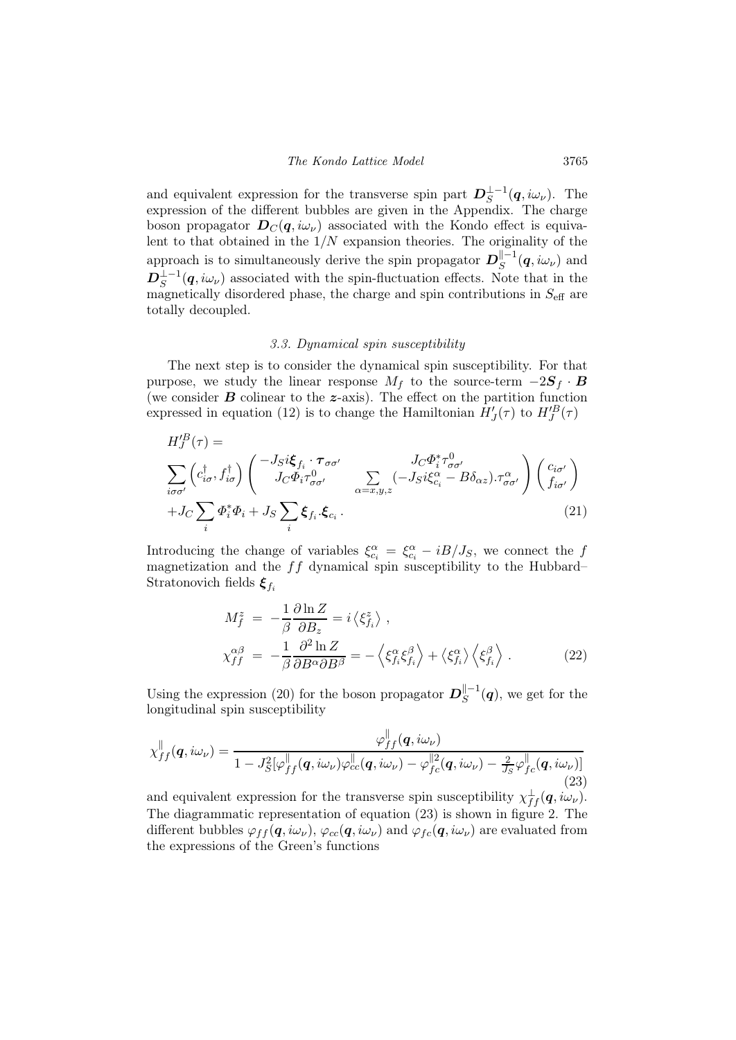and equivalent expression for the transverse spin part  $D_S^{\perp-1}(q,i\omega_\nu)$ . The expression of the different bubbles are given in the Appendix. The charge boson propagator  $D_{\mathcal{C}}(q,i\omega_{\nu})$  associated with the Kondo effect is equivalent to that obtained in the  $1/N$  expansion theories. The originality of the approach is to simultaneously derive the spin propagator  $D_S^{\parallel -1}$  $\mathcal{L}_S^{\mathbb{H}^{-1}}(\boldsymbol{q},i\omega_\nu)$  and  $D_S^{\perp-1}(q,i\omega_\nu)$  associated with the spin-fluctuation effects. Note that in the magnetically disordered phase, the charge and spin contributions in  $S_{\text{eff}}$  are totally decoupled.

# 3.3. Dynamical spin susceptibility

The next step is to consider the dynamical spin susceptibility. For that purpose, we study the linear response  $M_f$  to the source-term  $-2S_f \cdot B$ (we consider  $\bf{B}$  colinear to the  $\bf{z}$ -axis). The effect on the partition function expressed in equation (12) is to change the Hamiltonian  $H'_{J}(\tau)$  to  $H''_{J}(\tau)$ 

$$
H_J^{IB}(\tau) = \sum_{i\sigma\sigma'} \left( c_{i\sigma}^{\dagger}, f_{i\sigma}^{\dagger} \right) \begin{pmatrix} -J_S i \xi_{f_i} \cdot \tau_{\sigma\sigma'} & J_C \Phi_i^* \tau_{\sigma\sigma'}^0 \\ J_C \Phi_i \tau_{\sigma\sigma'}^0 & \sum_{\alpha = x, y, z} (-J_S i \xi_{c_i}^{\alpha} - B \delta_{\alpha z}) \cdot \tau_{\sigma\sigma'}^{\alpha} \end{pmatrix} \begin{pmatrix} c_{i\sigma'} \\ f_{i\sigma'} \end{pmatrix} + J_C \sum_i \Phi_i^* \Phi_i + J_S \sum_i \xi_{f_i} \cdot \xi_{c_i} .
$$
\n(21)

Introducing the change of variables  $\xi_{c_i}^{\alpha} = \xi_{c_i}^{\alpha} - iB/J_S$ , we connect the f magnetization and the  $ff$  dynamical spin susceptibility to the Hubbard– Stratonovich fields  $\xi_{f_i}$ 

$$
M_f^z = -\frac{1}{\beta} \frac{\partial \ln Z}{\partial B_z} = i \langle \xi_{f_i}^z \rangle ,
$$
  
\n
$$
\chi_{ff}^{\alpha\beta} = -\frac{1}{\beta} \frac{\partial^2 \ln Z}{\partial B^{\alpha} \partial B^{\beta}} = -\langle \xi_{f_i}^{\alpha} \xi_{f_i}^{\beta} \rangle + \langle \xi_{f_i}^{\alpha} \rangle \langle \xi_{f_i}^{\beta} \rangle .
$$
\n(22)

Using the expression (20) for the boson propagator  $D_S^{\Vert -1}$  $S^{\parallel -1}(\boldsymbol{q})$ , we get for the longitudinal spin susceptibility

k

$$
\chi_{ff}^{\parallel}(\boldsymbol{q},i\omega_{\nu}) = \frac{\varphi_{ff}^{\parallel}(\boldsymbol{q},i\omega_{\nu})}{1 - J_S^2[\varphi_{ff}^{\parallel}(\boldsymbol{q},i\omega_{\nu})\varphi_{cc}^{\parallel}(\boldsymbol{q},i\omega_{\nu}) - \varphi_{fc}^{\parallel 2}(\boldsymbol{q},i\omega_{\nu}) - \frac{2}{J_S}\varphi_{fc}^{\parallel}(\boldsymbol{q},i\omega_{\nu})]} \tag{23}
$$

and equivalent expression for the transverse spin susceptibility  $\chi^{\perp}_{ff}(q,i\omega_{\nu}).$ The diagrammatic representation of equation (23) is shown in figure 2. The different bubbles  $\varphi_{ff}(q,i\omega_\nu), \varphi_{cc}(q,i\omega_\nu)$  and  $\varphi_{fc}(q,i\omega_\nu)$  are evaluated from the expressions of the Green's functions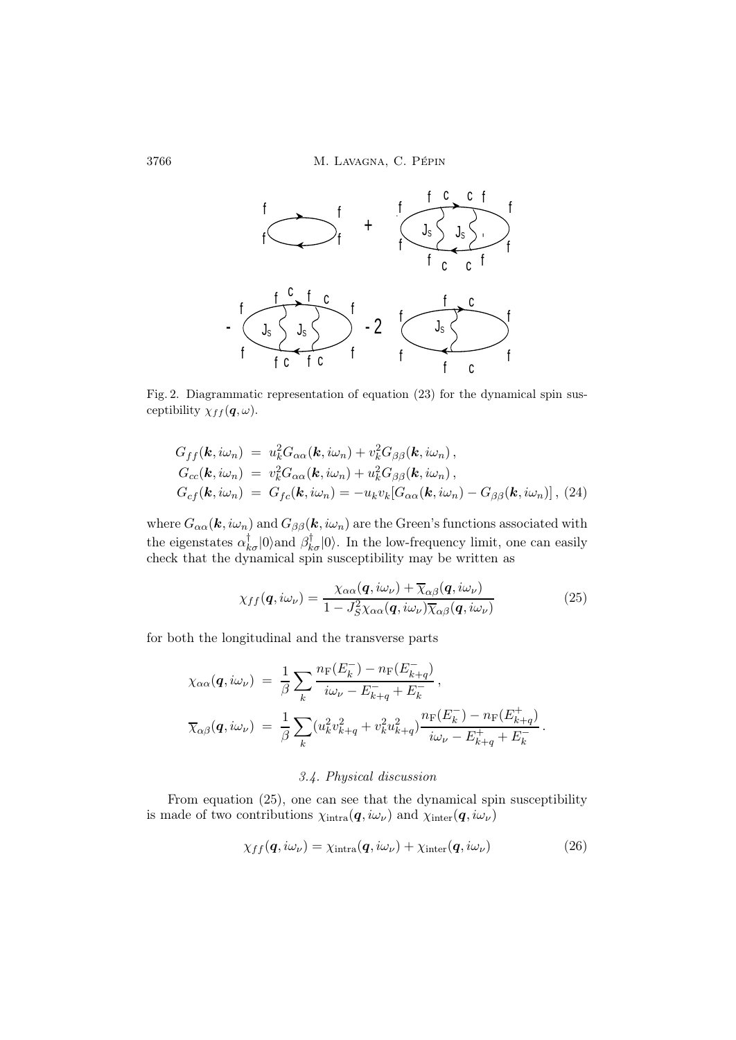

Fig. 2. Diagrammatic representation of equation (23) for the dynamical spin susceptibility  $\chi_{ff}(\boldsymbol{q},\omega)$ .

$$
G_{ff}(\mathbf{k}, i\omega_n) = u_k^2 G_{\alpha\alpha}(\mathbf{k}, i\omega_n) + v_k^2 G_{\beta\beta}(\mathbf{k}, i\omega_n),
$$
  
\n
$$
G_{cc}(\mathbf{k}, i\omega_n) = v_k^2 G_{\alpha\alpha}(\mathbf{k}, i\omega_n) + u_k^2 G_{\beta\beta}(\mathbf{k}, i\omega_n),
$$
  
\n
$$
G_{cf}(\mathbf{k}, i\omega_n) = G_{fc}(\mathbf{k}, i\omega_n) = -u_k v_k [G_{\alpha\alpha}(\mathbf{k}, i\omega_n) - G_{\beta\beta}(\mathbf{k}, i\omega_n)], (24)
$$

where  $G_{\alpha\alpha}(\mathbf{k},i\omega_n)$  and  $G_{\beta\beta}(\mathbf{k},i\omega_n)$  are the Green's functions associated with the eigenstates  $\alpha_{k\sigma}^{\dagger}|0\rangle$  and  $\beta_{k\sigma}^{\dagger}|0\rangle$ . In the low-frequency limit, one can easily check that the dynamical spin susceptibility may be written as

$$
\chi_{ff}(\mathbf{q}, i\omega_{\nu}) = \frac{\chi_{\alpha\alpha}(\mathbf{q}, i\omega_{\nu}) + \overline{\chi}_{\alpha\beta}(\mathbf{q}, i\omega_{\nu})}{1 - J_{S}^{2} \chi_{\alpha\alpha}(\mathbf{q}, i\omega_{\nu}) \overline{\chi}_{\alpha\beta}(\mathbf{q}, i\omega_{\nu})}
$$
(25)

for both the longitudinal and the transverse parts

$$
\chi_{\alpha\alpha}(\mathbf{q}, i\omega_{\nu}) = \frac{1}{\beta} \sum_{k} \frac{n_{\rm F}(E_{k}^{-}) - n_{\rm F}(E_{k+q}^{-})}{i\omega_{\nu} - E_{k+q}^{-} + E_{k}^{-}},
$$
  

$$
\overline{\chi}_{\alpha\beta}(\mathbf{q}, i\omega_{\nu}) = \frac{1}{\beta} \sum_{k} (u_{k}^{2} v_{k+q}^{2} + v_{k}^{2} u_{k+q}^{2}) \frac{n_{\rm F}(E_{k}^{-}) - n_{\rm F}(E_{k+q}^{+})}{i\omega_{\nu} - E_{k+q}^{+} + E_{k}^{-}}.
$$

# 3.4. Physical discussion

From equation (25), one can see that the dynamical spin susceptibility is made of two contributions  $\chi_{\text{intra}}(\boldsymbol{q}, i\omega_{\nu})$  and  $\chi_{\text{inter}}(\boldsymbol{q}, i\omega_{\nu})$ 

$$
\chi_{ff}(\mathbf{q}, i\omega_{\nu}) = \chi_{\text{intra}}(\mathbf{q}, i\omega_{\nu}) + \chi_{\text{inter}}(\mathbf{q}, i\omega_{\nu})
$$
\n(26)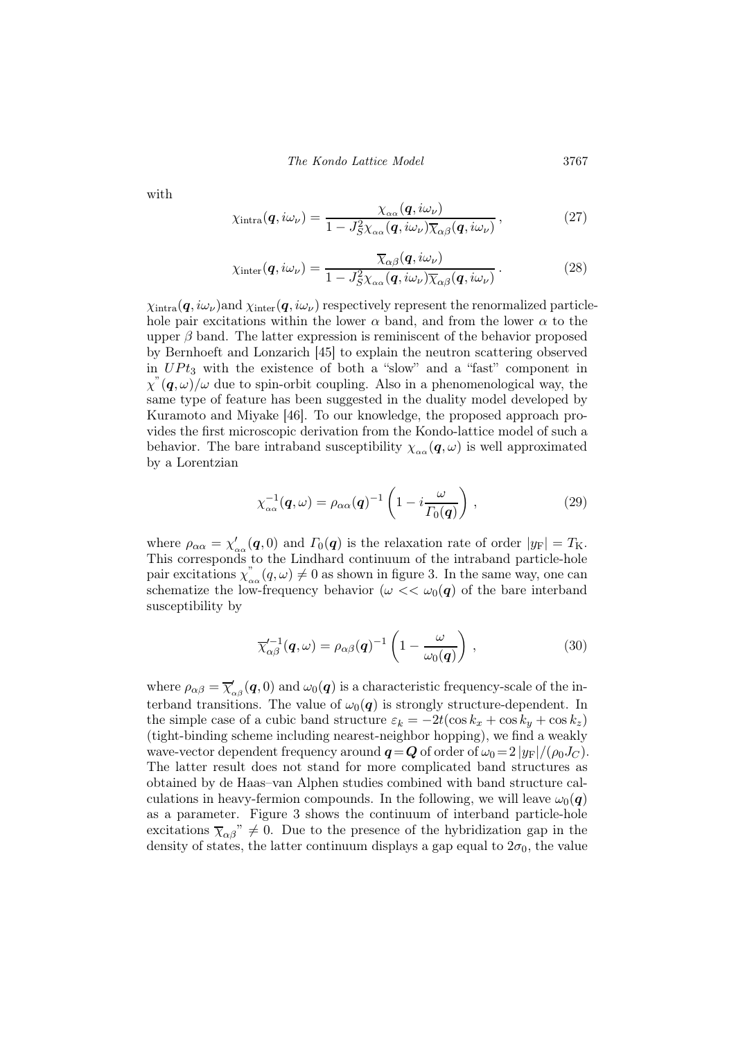The Kondo Lattice Model 3767

with

$$
\chi_{\text{intra}}(\boldsymbol{q}, i\omega_{\nu}) = \frac{\chi_{\alpha\alpha}(\boldsymbol{q}, i\omega_{\nu})}{1 - J_{S}^{2}\chi_{\alpha\alpha}(\boldsymbol{q}, i\omega_{\nu})\overline{\chi}_{\alpha\beta}(\boldsymbol{q}, i\omega_{\nu})},
$$
(27)

$$
\chi_{\text{inter}}(\boldsymbol{q}, i\omega_{\nu}) = \frac{\overline{\chi}_{\alpha\beta}(\boldsymbol{q}, i\omega_{\nu})}{1 - J_S^2 \chi_{\alpha\alpha}(\boldsymbol{q}, i\omega_{\nu}) \overline{\chi}_{\alpha\beta}(\boldsymbol{q}, i\omega_{\nu})}.
$$
(28)

 $\chi_{\text{intra}}(\bm{q}, i\omega_{\nu})$  and  $\chi_{\text{inter}}(\bm{q}, i\omega_{\nu})$  respectively represent the renormalized particlehole pair excitations within the lower  $\alpha$  band, and from the lower  $\alpha$  to the upper  $\beta$  band. The latter expression is reminiscent of the behavior proposed by Bernhoeft and Lonzarich [45] to explain the neutron scattering observed in  $UPt_3$  with the existence of both a "slow" and a "fast" component in  $\chi^{\prime\prime}(\boldsymbol{q},\omega)/\omega$  due to spin-orbit coupling. Also in a phenomenological way, the same type of feature has been suggested in the duality model developed by Kuramoto and Miyake [46]. To our knowledge, the proposed approach provides the first microscopic derivation from the Kondo-lattice model of such a behavior. The bare intraband susceptibility  $\chi_{\alpha\alpha}(q,\omega)$  is well approximated by a Lorentzian

$$
\chi_{\alpha\alpha}^{-1}(\boldsymbol{q},\omega) = \rho_{\alpha\alpha}(\boldsymbol{q})^{-1} \left(1 - i\frac{\omega}{\Gamma_0(\boldsymbol{q})}\right),
$$
\n(29)

where  $\rho_{\alpha\alpha} = \chi'_{\alpha\alpha}(\mathbf{q}, 0)$  and  $\Gamma_0(\mathbf{q})$  is the relaxation rate of order  $|y_F| = T_K$ . This corresponds to the Lindhard continuum of the intraband particle-hole pair excitations  $\chi_{\alpha\alpha}^{\prime\prime}(q,\omega)\neq 0$  as shown in figure 3. In the same way, one can schematize the low-frequency behavior  $(\omega \ll \omega_0(\mathbf{q})$  of the bare interband susceptibility by

$$
\overline{\chi}_{\alpha\beta}^{\prime-1}(\boldsymbol{q},\omega) = \rho_{\alpha\beta}(\boldsymbol{q})^{-1} \left(1 - \frac{\omega}{\omega_0(\boldsymbol{q})}\right),\qquad(30)
$$

where  $\rho_{\alpha\beta} = \overline{\chi}'_{\alpha\beta}(\bm{q},0)$  and  $\omega_0(\bm{q})$  is a characteristic frequency-scale of the interband transitions. The value of  $\omega_0(\mathbf{q})$  is strongly structure-dependent. In the simple case of a cubic band structure  $\varepsilon_k = -2t(\cos k_x + \cos k_y + \cos k_z)$ (tight-binding scheme including nearest-neighbor hopping), we find a weakly wave-vector dependent frequency around  $q = Q$  of order of  $\omega_0 = 2 |y_F|/(\rho_0 J_C)$ . The latter result does not stand for more complicated band structures as obtained by de Haas–van Alphen studies combined with band structure calculations in heavy-fermion compounds. In the following, we will leave  $\omega_0(\mathbf{q})$ as a parameter. Figure 3 shows the continuum of interband particle-hole excitations  $\overline{\chi}_{\alpha\beta}$ "  $\neq$  0. Due to the presence of the hybridization gap in the density of states, the latter continuum displays a gap equal to  $2\sigma_0$ , the value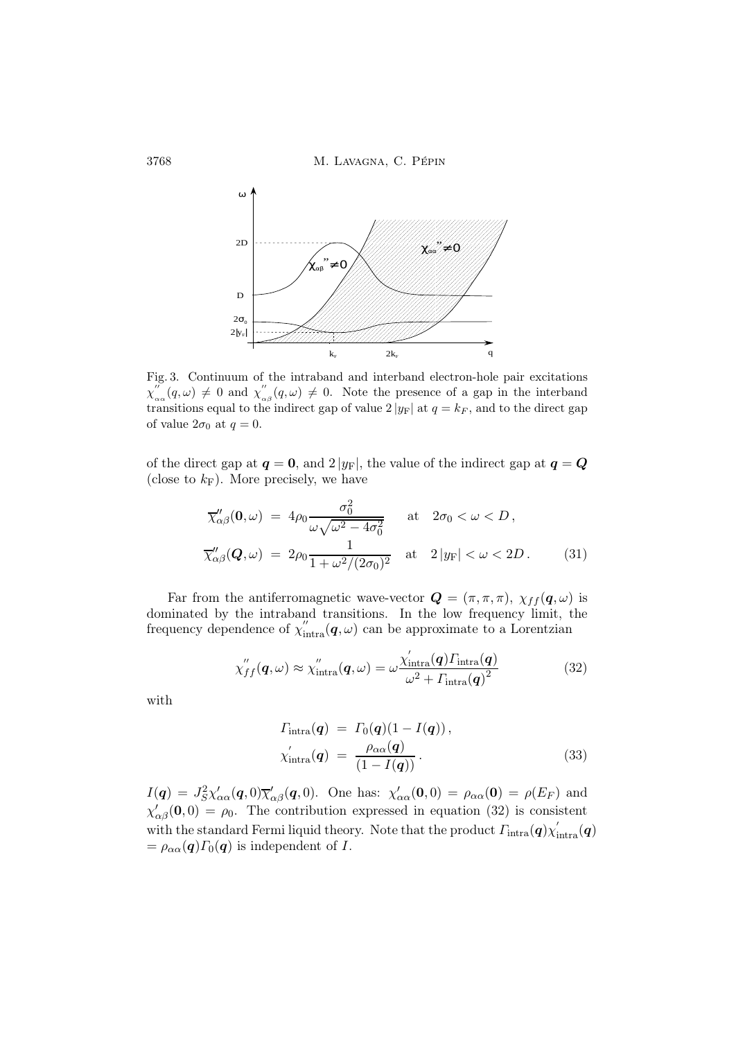3768 M. LAVAGNA, C. PÉPIN



Fig. 3. Continuum of the intraband and interband electron-hole pair excitations  $\chi^{\prime\prime}_{\alpha}$  $\int_{\alpha}^{\prime\prime} (q,\omega) \neq 0$  and  $\chi''_{\alpha}$  $\int_{\alpha\beta}^{\alpha}(q,\omega) \neq 0$ . Note the presence of a gap in the interband transitions equal to the indirect gap of value  $2 |y_F|$  at  $q = k_F$ , and to the direct gap of value  $2\sigma_0$  at  $q=0$ .

of the direct gap at  $q = 0$ , and  $2 |y_F|$ , the value of the indirect gap at  $q = Q$ (close to  $k_F$ ). More precisely, we have

$$
\overline{\chi}''_{\alpha\beta}(\mathbf{0},\omega) = 4\rho_0 \frac{\sigma_0^2}{\omega\sqrt{\omega^2 - 4\sigma_0^2}} \quad \text{at} \quad 2\sigma_0 < \omega < D,
$$
\n
$$
\overline{\chi}''_{\alpha\beta}(\mathbf{Q},\omega) = 2\rho_0 \frac{1}{1 + \omega^2/(2\sigma_0)^2} \quad \text{at} \quad 2|y_F| < \omega < 2D. \tag{31}
$$

Far from the antiferromagnetic wave-vector  $\mathbf{Q} = (\pi, \pi, \pi)$ ,  $\chi_{ff}(\mathbf{q}, \omega)$  is dominated by the intraband transitions. In the low frequency limit, the frequency dependence of  $\chi''_{intra}(\boldsymbol{q}, \omega)$  can be approximate to a Lorentzian

$$
\chi''_{ff}(\boldsymbol{q},\omega) \approx \chi''_{\text{intra}}(\boldsymbol{q},\omega) = \omega \frac{\chi'_{\text{intra}}(\boldsymbol{q}) \Gamma_{\text{intra}}(\boldsymbol{q})}{\omega^2 + \Gamma_{\text{intra}}(\boldsymbol{q})^2}
$$
(32)

with

$$
T_{\text{intra}}(\boldsymbol{q}) = T_0(\boldsymbol{q})(1 - I(\boldsymbol{q})),
$$
  
\n
$$
\chi_{\text{intra}}'(\boldsymbol{q}) = \frac{\rho_{\alpha\alpha}(\boldsymbol{q})}{(1 - I(\boldsymbol{q}))}.
$$
\n(33)

 $I(q) = J_S^2 \chi'_{\alpha\alpha}(q,0) \overline{\chi}'_{\alpha\beta}(q,0)$ . One has:  $\chi'_{\alpha\alpha}(0,0) = \rho_{\alpha\alpha}(0) = \rho(E_F)$  and  $\chi'_{\alpha\beta}(\mathbf{0},0) = \rho_0$ . The contribution expressed in equation (32) is consistent with the standard Fermi liquid theory. Note that the product  $\varGamma_{\rm intra}(\bm{q})\chi_{\rm intra}'(\bm{q})$  $= \rho_{\alpha\alpha}(q) \Gamma_0(q)$  is independent of I.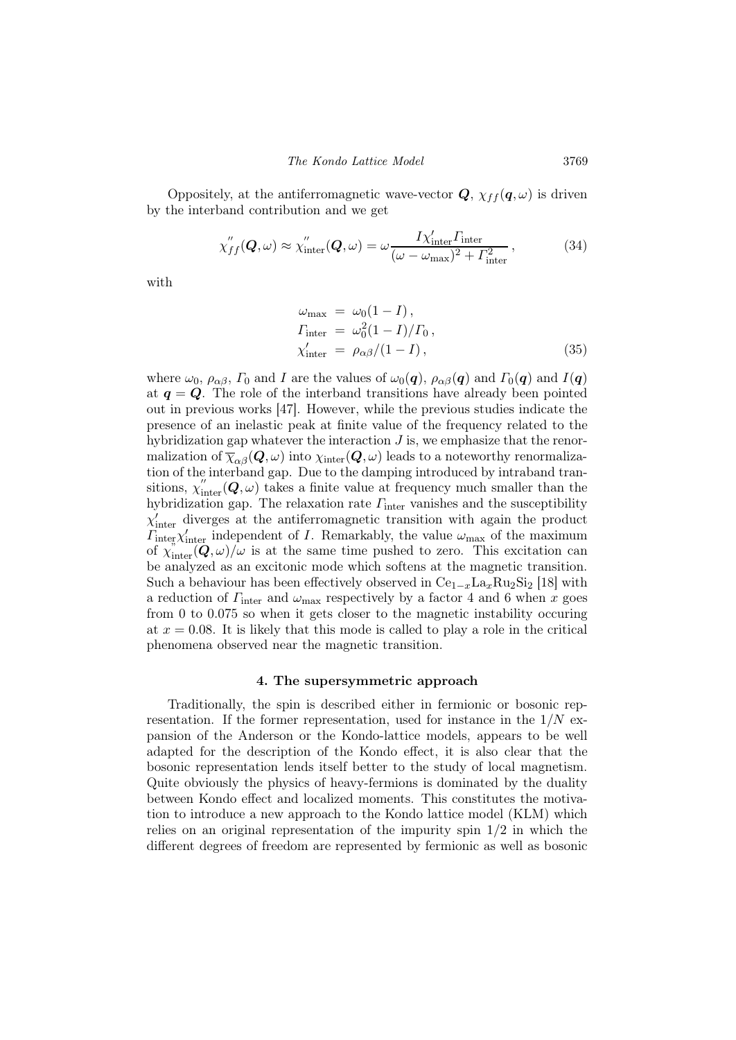Oppositely, at the antiferromagnetic wave-vector  $\mathbf{Q}, \chi_{ff}(\mathbf{q},\omega)$  is driven by the interband contribution and we get

$$
\chi''_{ff}(\boldsymbol{Q},\omega) \approx \chi''_{\text{inter}}(\boldsymbol{Q},\omega) = \omega \frac{I \chi'_{\text{inter}} \Gamma_{\text{inter}}}{(\omega - \omega_{\text{max}})^2 + \Gamma_{\text{inter}}^2},\tag{34}
$$

with

$$
\omega_{\text{max}} = \omega_0 (1 - I),
$$
  
\n
$$
\Gamma_{\text{inter}} = \omega_0^2 (1 - I) / \Gamma_0,
$$
  
\n
$$
\chi_{\text{inter}}' = \rho_{\alpha\beta} / (1 - I),
$$
\n(35)

where  $\omega_0$ ,  $\rho_{\alpha\beta}$ ,  $\Gamma_0$  and I are the values of  $\omega_0(\mathbf{q})$ ,  $\rho_{\alpha\beta}(\mathbf{q})$  and  $\Gamma_0(\mathbf{q})$  and  $I(\mathbf{q})$ at  $q = Q$ . The role of the interband transitions have already been pointed out in previous works [47]. However, while the previous studies indicate the presence of an inelastic peak at finite value of the frequency related to the hybridization gap whatever the interaction  $J$  is, we emphasize that the renormalization of  $\overline{\chi}_{\alpha\beta}(Q,\omega)$  into  $\chi_{\text{inter}}(Q,\omega)$  leads to a noteworthy renormalization of the interband gap. Due to the damping introduced by intraband transitions,  $\chi''_{\text{inter}}(Q,\omega)$  takes a finite value at frequency much smaller than the hybridization gap. The relaxation rate  $\Gamma_{\rm inter}$  vanishes and the susceptibility  $\chi'_{\text{inter}}$  diverges at the antiferromagnetic transition with again the product  $\overline{I}_{\text{intex}}^{\text{unc}} \chi'_{\text{inter}}$  independent of *I*. Remarkably, the value  $\omega_{\text{max}}$  of the maximum of  $\chi^{\prime\prime}_{\text{inter}}(\mathbf{Q},\omega)/\omega$  is at the same time pushed to zero. This excitation can be analyzed as an excitonic mode which softens at the magnetic transition. Such a behaviour has been effectively observed in  $Ce<sub>1-x</sub>La<sub>x</sub>Ru<sub>2</sub>Si<sub>2</sub>$  [18] with a reduction of  $\Gamma_{\text{inter}}$  and  $\omega_{\text{max}}$  respectively by a factor 4 and 6 when x goes from 0 to 0.075 so when it gets closer to the magnetic instability occuring at  $x = 0.08$ . It is likely that this mode is called to play a role in the critical phenomena observed near the magnetic transition.

### 4. The supersymmetric approach

Traditionally, the spin is described either in fermionic or bosonic representation. If the former representation, used for instance in the  $1/N$  expansion of the Anderson or the Kondo-lattice models, appears to be well adapted for the description of the Kondo effect, it is also clear that the bosonic representation lends itself better to the study of local magnetism. Quite obviously the physics of heavy-fermions is dominated by the duality between Kondo effect and localized moments. This constitutes the motivation to introduce a new approach to the Kondo lattice model (KLM) which relies on an original representation of the impurity spin  $1/2$  in which the different degrees of freedom are represented by fermionic as well as bosonic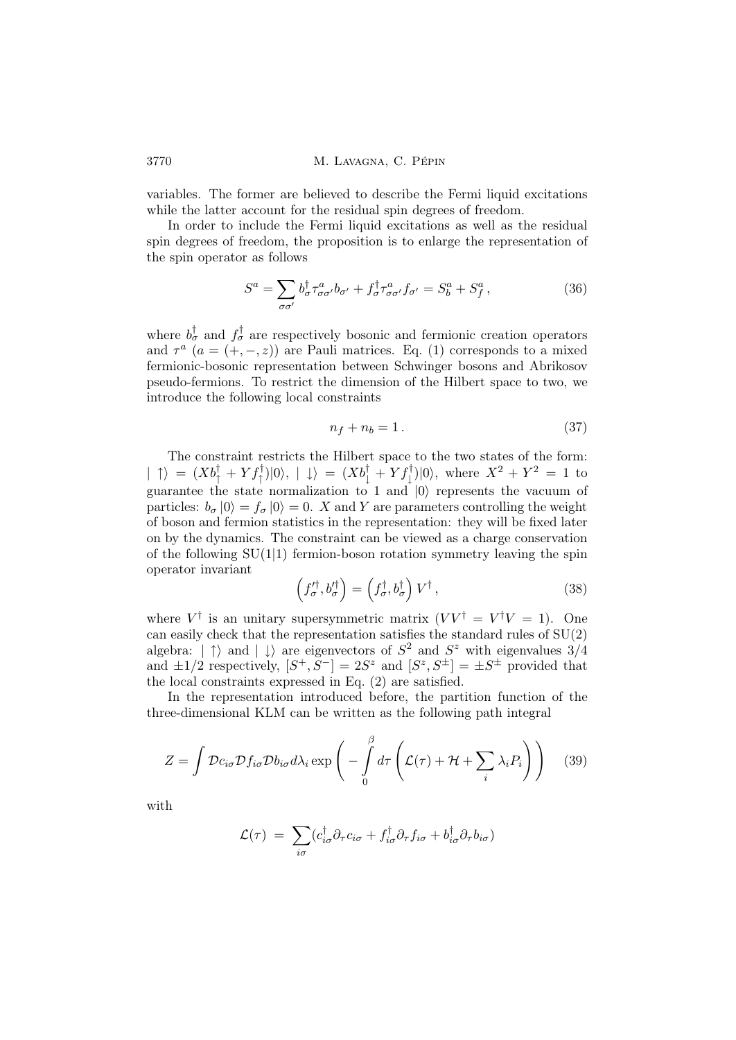variables. The former are believed to describe the Fermi liquid excitations while the latter account for the residual spin degrees of freedom.

In order to include the Fermi liquid excitations as well as the residual spin degrees of freedom, the proposition is to enlarge the representation of the spin operator as follows

$$
S^{a} = \sum_{\sigma\sigma'} b^{\dagger}_{\sigma}\tau^{a}_{\sigma\sigma'}b_{\sigma'} + f^{\dagger}_{\sigma}\tau^{a}_{\sigma\sigma'}f_{\sigma'} = S^{a}_{b} + S^{a}_{f}, \qquad (36)
$$

where  $b^{\dagger}_{\sigma}$  and  $f^{\dagger}_{\sigma}$  are respectively bosonic and fermionic creation operators and  $\tau^a$   $(a = (+, -, z))$  are Pauli matrices. Eq. (1) corresponds to a mixed fermionic-bosonic representation between Schwinger bosons and Abrikosov pseudo-fermions. To restrict the dimension of the Hilbert space to two, we introduce the following local constraints

$$
n_f + n_b = 1. \tag{37}
$$

The constraint restricts the Hilbert space to the two states of the form:  $| \uparrow \rangle = (Xb_{\uparrow}^{\dagger} + Yf_{\uparrow}^{\dagger})|0\rangle, | \downarrow \rangle = (Xb_{\downarrow}^{\dagger} + Yf_{\downarrow}^{\dagger})|0\rangle$ , where  $X^2 + Y^2 = 1$  to guarantee the state normalization to 1 and  $|0\rangle$  represents the vacuum of particles:  $b_{\sigma} |0\rangle = f_{\sigma} |0\rangle = 0$ . X and Y are parameters controlling the weight of boson and fermion statistics in the representation: they will be fixed later on by the dynamics. The constraint can be viewed as a charge conservation of the following  $SU(1|1)$  fermion-boson rotation symmetry leaving the spin operator invariant

$$
\left(f_{\sigma}^{\prime \dagger}, b_{\sigma}^{\prime \dagger}\right) = \left(f_{\sigma}^{\dagger}, b_{\sigma}^{\dagger}\right) V^{\dagger},\tag{38}
$$

where  $V^{\dagger}$  is an unitary supersymmetric matrix  $(VV^{\dagger} = V^{\dagger}V = 1)$ . One can easily check that the representation satisfies the standard rules of  $SU(2)$ algebra:  $|\uparrow\rangle$  and  $|\downarrow\rangle$  are eigenvectors of  $S^2$  and  $S^z$  with eigenvalues  $3/4$ and  $\pm 1/2$  respectively,  $[S^+, S^-] = 2S^z$  and  $[S^z, S^{\pm}] = \pm S^{\pm}$  provided that the local constraints expressed in Eq. (2) are satisfied.

In the representation introduced before, the partition function of the three-dimensional KLM can be written as the following path integral

$$
Z = \int \mathcal{D}c_{i\sigma} \mathcal{D}f_{i\sigma} \mathcal{D}b_{i\sigma} d\lambda_i \exp\left(-\int\limits_0^\beta d\tau \left(\mathcal{L}(\tau) + \mathcal{H} + \sum_i \lambda_i P_i\right)\right) \tag{39}
$$

with

$$
\mathcal{L}(\tau) = \sum_{i\sigma} (c_{i\sigma}^{\dagger} \partial_{\tau} c_{i\sigma} + f_{i\sigma}^{\dagger} \partial_{\tau} f_{i\sigma} + b_{i\sigma}^{\dagger} \partial_{\tau} b_{i\sigma})
$$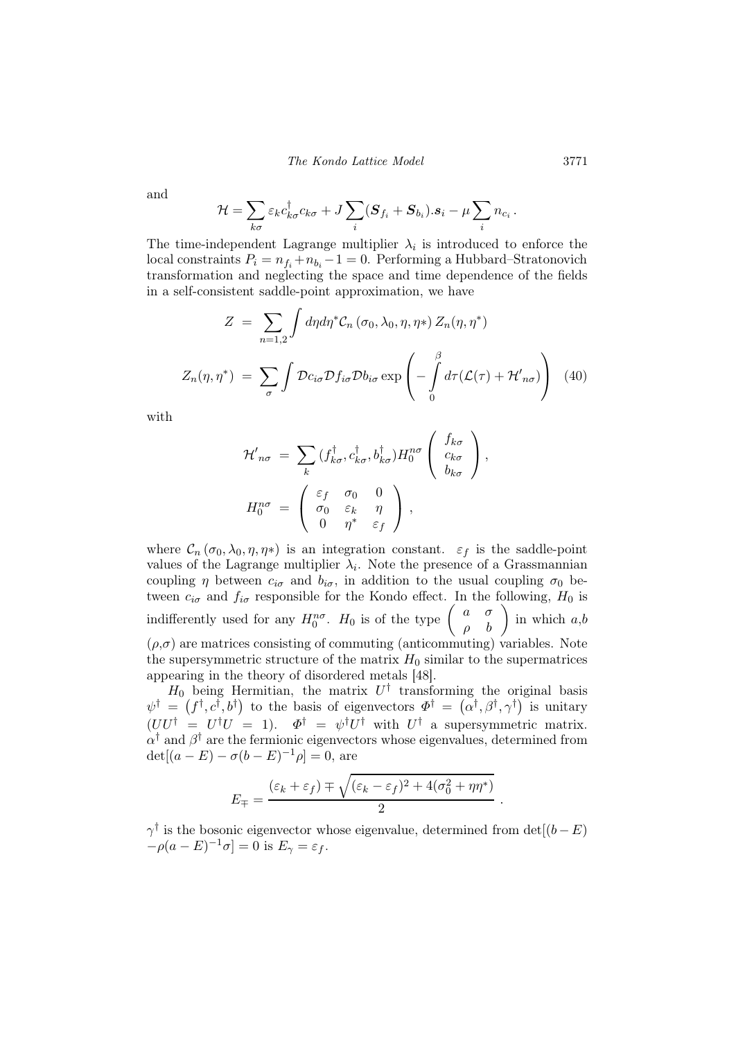The Kondo Lattice Model 3771

and

$$
\mathcal{H} = \sum_{k\sigma} \varepsilon_k c_{k\sigma}^\dagger c_{k\sigma} + J \sum_i (\boldsymbol{S}_{f_i} + \boldsymbol{S}_{b_i}).\boldsymbol{s}_i - \mu \sum_i n_{c_i}.
$$

The time-independent Lagrange multiplier  $\lambda_i$  is introduced to enforce the local constraints  $P_i = n_{f_i} + n_{b_i} - 1 = 0$ . Performing a Hubbard–Stratonovich transformation and neglecting the space and time dependence of the fields in a self-consistent saddle-point approximation, we have

$$
Z = \sum_{n=1,2} \int d\eta d\eta^* C_n (\sigma_0, \lambda_0, \eta, \eta^*) Z_n(\eta, \eta^*)
$$
  

$$
Z_n(\eta, \eta^*) = \sum_{\sigma} \int \mathcal{D}c_{i\sigma} \mathcal{D}f_{i\sigma} \mathcal{D}b_{i\sigma} \exp\left(-\int_0^\beta d\tau (\mathcal{L}(\tau) + \mathcal{H}'_{n\sigma})\right) (40)
$$

with

$$
\mathcal{H}'_{n\sigma} = \sum_{k} (f_{k\sigma}^{\dagger}, c_{k\sigma}^{\dagger}, b_{k\sigma}^{\dagger}) H_0^{n\sigma} \begin{pmatrix} f_{k\sigma} \\ c_{k\sigma} \\ b_{k\sigma} \end{pmatrix},
$$

$$
H_0^{n\sigma} = \begin{pmatrix} \varepsilon_f & \sigma_0 & 0 \\ \sigma_0 & \varepsilon_k & \eta \\ 0 & \eta^* & \varepsilon_f \end{pmatrix},
$$

where  $\mathcal{C}_n(\sigma_0,\lambda_0,\eta,\eta^*)$  is an integration constant.  $\varepsilon_f$  is the saddle-point values of the Lagrange multiplier  $\lambda_i$ . Note the presence of a Grassmannian coupling  $\eta$  between  $c_{i\sigma}$  and  $b_{i\sigma}$ , in addition to the usual coupling  $\sigma_0$  between  $c_{i\sigma}$  and  $f_{i\sigma}$  responsible for the Kondo effect. In the following,  $H_0$  is indifferently used for any  $H_0^{n\sigma}$ .  $H_0$  is of the type  $\begin{pmatrix} a & \sigma \\ \rho & b \end{pmatrix}$  in which  $a,b$  $(\rho,\sigma)$  are matrices consisting of commuting (anticommuting) variables. Note the supersymmetric structure of the matrix  $H_0$  similar to the supermatrices appearing in the theory of disordered metals [48].

 $H_0$  being Hermitian, the matrix  $U^{\dagger}$  transforming the original basis  $\psi^{\dagger} = (f^{\dagger}, c^{\dagger}, b^{\dagger})$  to the basis of eigenvectors  $\Phi^{\dagger} = (\alpha^{\dagger}, \beta^{\dagger}, \gamma^{\dagger})$  is unitary  $(UU^{\dagger} = U^{\dagger}U = 1)$ .  $\Phi^{\dagger} = \psi^{\dagger}U^{\dagger}$  with  $U^{\dagger}$  a supersymmetric matrix.  $\alpha^{\dagger}$  and  $\beta^{\dagger}$  are the fermionic eigenvectors whose eigenvalues, determined from  $\det[(a - E) - \sigma(b - E)^{-1}\rho] = 0$ , are

$$
E_{\mp} = \frac{(\varepsilon_k + \varepsilon_f) \mp \sqrt{(\varepsilon_k - \varepsilon_f)^2 + 4(\sigma_0^2 + \eta \eta^*)}}{2}
$$

.

 $\gamma^{\dagger}$  is the bosonic eigenvector whose eigenvalue, determined from det[(b – E)  $-\rho(a-E)^{-1}\sigma] = 0$  is  $E_{\gamma} = \varepsilon_f$ .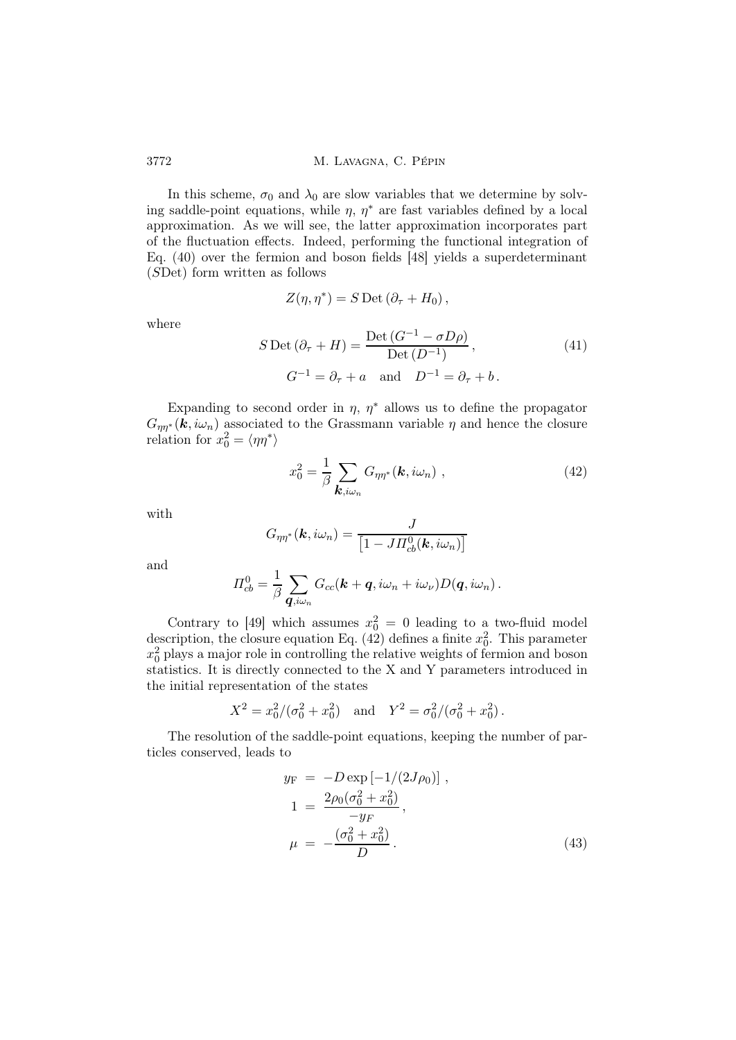In this scheme,  $\sigma_0$  and  $\lambda_0$  are slow variables that we determine by solving saddle-point equations, while  $\eta$ ,  $\eta^*$  are fast variables defined by a local approximation. As we will see, the latter approximation incorporates part of the fluctuation effects. Indeed, performing the functional integration of Eq. (40) over the fermion and boson fields [48] yields a superdeterminant (SDet) form written as follows

$$
Z(\eta, \eta^*) = S \operatorname{Det} (\partial_{\tau} + H_0),
$$

where

$$
S \operatorname{Det} (\partial_{\tau} + H) = \frac{\operatorname{Det} (G^{-1} - \sigma D \rho)}{\operatorname{Det} (D^{-1})},
$$
\n
$$
G^{-1} = \partial_{\tau} + a \quad \text{and} \quad D^{-1} = \partial_{\tau} + b.
$$
\n(41)

Expanding to second order in  $\eta$ ,  $\eta^*$  allows us to define the propagator  $G_{\eta\eta^*}(\mathbf{k},i\omega_n)$  associated to the Grassmann variable  $\eta$  and hence the closure relation for  $x_0^2 = \langle \eta \eta^* \rangle$ 

$$
x_0^2 = \frac{1}{\beta} \sum_{\mathbf{k}, i\omega_n} G_{\eta\eta^*}(\mathbf{k}, i\omega_n) , \qquad (42)
$$

with

$$
G_{\eta\eta^*}(\mathbf{k}, i\omega_n) = \frac{J}{\left[1 - J H_{cb}^0(\mathbf{k}, i\omega_n)\right]}
$$

and

$$
\Pi_{cb}^0 = \frac{1}{\beta} \sum_{\mathbf{q},i\omega_n} G_{cc}(\mathbf{k} + \mathbf{q}, i\omega_n + i\omega_\nu) D(\mathbf{q}, i\omega_n).
$$

Contrary to [49] which assumes  $x_0^2 = 0$  leading to a two-fluid model description, the closure equation Eq. (42) defines a finite  $x_0^2$ . This parameter  $x_0^2$  plays a major role in controlling the relative weights of fermion and boson statistics. It is directly connected to the X and Y parameters introduced in the initial representation of the states

$$
X^2 = x_0^2/(\sigma_0^2 + x_0^2)
$$
 and  $Y^2 = \sigma_0^2/(\sigma_0^2 + x_0^2)$ .

The resolution of the saddle-point equations, keeping the number of particles conserved, leads to

$$
y_{\rm F} = -D \exp \left[ -1/(2J\rho_0) \right],
$$
  
\n
$$
1 = \frac{2\rho_0(\sigma_0^2 + x_0^2)}{-y_F},
$$
  
\n
$$
\mu = -\frac{(\sigma_0^2 + x_0^2)}{D}.
$$
\n(43)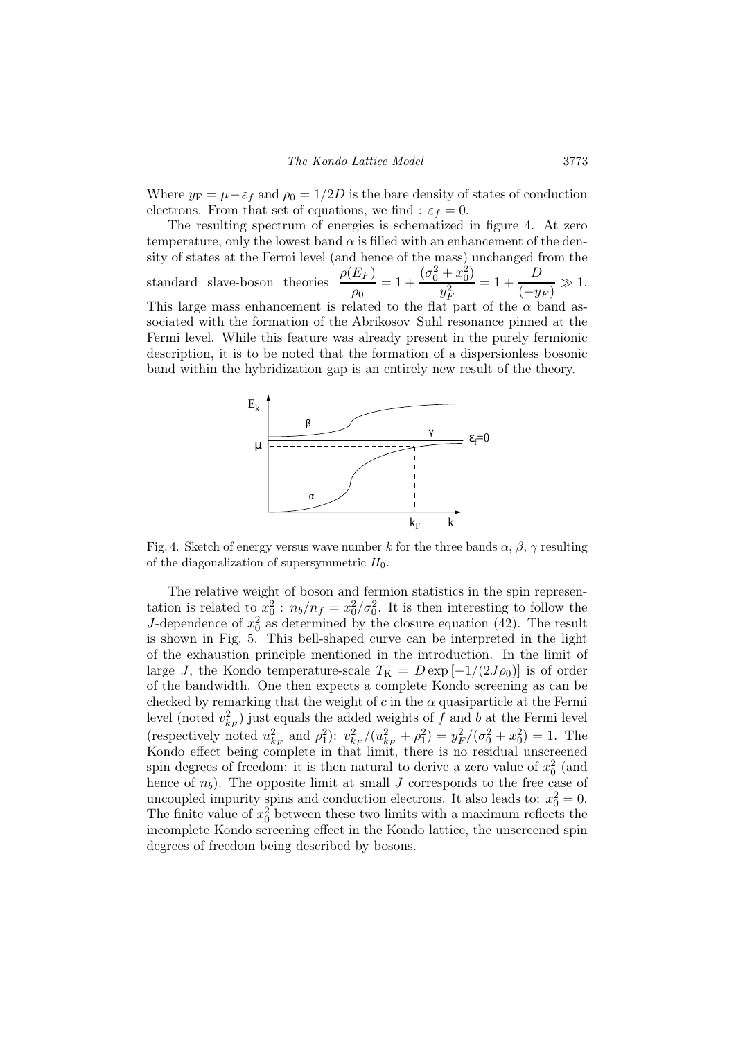Where  $y_F = \mu - \varepsilon_f$  and  $\rho_0 = 1/2D$  is the bare density of states of conduction electrons. From that set of equations, we find :  $\varepsilon_f = 0$ .

The resulting spectrum of energies is schematized in figure 4. At zero temperature, only the lowest band  $\alpha$  is filled with an enhancement of the density of states at the Fermi level (and hence of the mass) unchanged from the standard slave-boson theories  $\rho(E_F)$  $\frac{E_F)}{\rho_0}=1+\frac{(\sigma_0^2+x_0^2)}{y_F^2}$  $y_F^2$  $= 1 + \frac{D}{\sqrt{2}}$  $\frac{E}{(-y_F)} \gg 1.$ This large mass enhancement is related to the flat part of the  $\alpha$  band associated with the formation of the Abrikosov–Suhl resonance pinned at the Fermi level. While this feature was already present in the purely fermionic description, it is to be noted that the formation of a dispersionless bosonic band within the hybridization gap is an entirely new result of the theory.



Fig. 4. Sketch of energy versus wave number k for the three bands  $\alpha$ ,  $\beta$ ,  $\gamma$  resulting of the diagonalization of supersymmetric  $H_0$ .

The relative weight of boson and fermion statistics in the spin representation is related to  $x_0^2$ :  $n_b/n_f = x_0^2/\sigma_0^2$ . It is then interesting to follow the J-dependence of  $x_0^2$  as determined by the closure equation (42). The result is shown in Fig. 5. This bell-shaped curve can be interpreted in the light of the exhaustion principle mentioned in the introduction. In the limit of large J, the Kondo temperature-scale  $T_{\rm K} = D \exp \left[-1/(2J \rho_0)\right]$  is of order of the bandwidth. One then expects a complete Kondo screening as can be checked by remarking that the weight of c in the  $\alpha$  quasiparticle at the Fermi level (noted  $v_{k_F}^2$ ) just equals the added weights of f and b at the Fermi level (respectively noted  $u_{k_F}^2$  and  $\rho_1^2$ ):  $v_{k_F}^2/(u_{k_F}^2 + \rho_1^2) = y_F^2/(\sigma_0^2 + x_0^2) = 1$ . The Kondo effect being complete in that limit, there is no residual unscreened spin degrees of freedom: it is then natural to derive a zero value of  $x_0^2$  (and hence of  $n_b$ ). The opposite limit at small J corresponds to the free case of uncoupled impurity spins and conduction electrons. It also leads to:  $x_0^2 = 0$ . The finite value of  $x_0^2$  between these two limits with a maximum reflects the incomplete Kondo screening effect in the Kondo lattice, the unscreened spin degrees of freedom being described by bosons.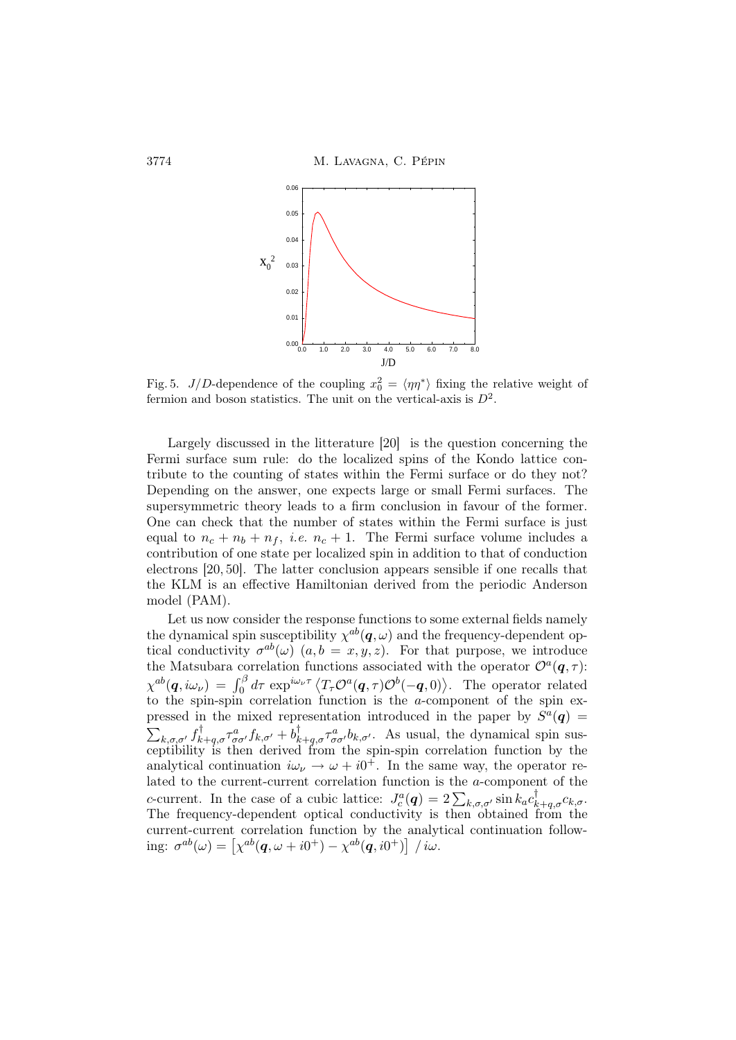

Fig. 5. J/D-dependence of the coupling  $x_0^2 = \langle \eta \eta^* \rangle$  fixing the relative weight of fermion and boson statistics. The unit on the vertical-axis is  $D^2$ .

Largely discussed in the litterature [20] is the question concerning the Fermi surface sum rule: do the localized spins of the Kondo lattice contribute to the counting of states within the Fermi surface or do they not? Depending on the answer, one expects large or small Fermi surfaces. The supersymmetric theory leads to a firm conclusion in favour of the former. One can check that the number of states within the Fermi surface is just equal to  $n_c + n_b + n_f$ , *i.e.*  $n_c + 1$ . The Fermi surface volume includes a contribution of one state per localized spin in addition to that of conduction electrons [20, 50]. The latter conclusion appears sensible if one recalls that the KLM is an effective Hamiltonian derived from the periodic Anderson model (PAM).

Let us now consider the response functions to some external fields namely the dynamical spin susceptibility  $\chi^{ab}(\boldsymbol{q},\omega)$  and the frequency-dependent optical conductivity  $\sigma^{ab}(\omega)$   $(a,b = x,y,z)$ . For that purpose, we introduce the Matsubara correlation functions associated with the operator  $\mathcal{O}^a(\mathbf{q},\tau)$ :  $\chi^{ab}(\boldsymbol{q}, i\omega_{\nu}) = \int_0^{\beta} d\tau \exp^{i\omega_{\nu}\tau} \langle T_{\tau} \mathcal{O}^a(\boldsymbol{q}, \tau) \mathcal{O}^b(-\boldsymbol{q}, 0) \rangle$ . The operator related to the spin-spin correlation function is the a-component of the spin expressed in the mixed representation introduced in the paper by  $S^a(q)$  =  $\sum_{k,\sigma,\sigma'} f^{\dagger}_{k+q,\sigma} \tau^{a}_{\sigma\sigma'} f_{k,\sigma'} + b^{\dagger}_{k+q,\sigma} \tau^{a}_{\sigma\sigma'} b_{k,\sigma'}.$  As usual, the dynamical spin susceptibility is then derived from the spin-spin correlation function by the analytical continuation  $i\omega_{\nu} \rightarrow \omega + i0^{+}$ . In the same way, the operator related to the current-current correlation function is the a-component of the c-current. In the case of a cubic lattice:  $J_c^a(q) = 2 \sum_{k,\sigma,\sigma'} \sin k_a c_k^{\dagger}$  $k+q, \sigma^{\mathcal{C}_{k,\sigma}}$ . The frequency-dependent optical conductivity is then obtained from the current-current correlation function by the analytical continuation following:  $\sigma^{ab}(\omega) = \left[ \chi^{ab}(\boldsymbol{q}, \omega + i0^+) - \chi^{ab}(\boldsymbol{q}, i0^+) \right] / i\omega.$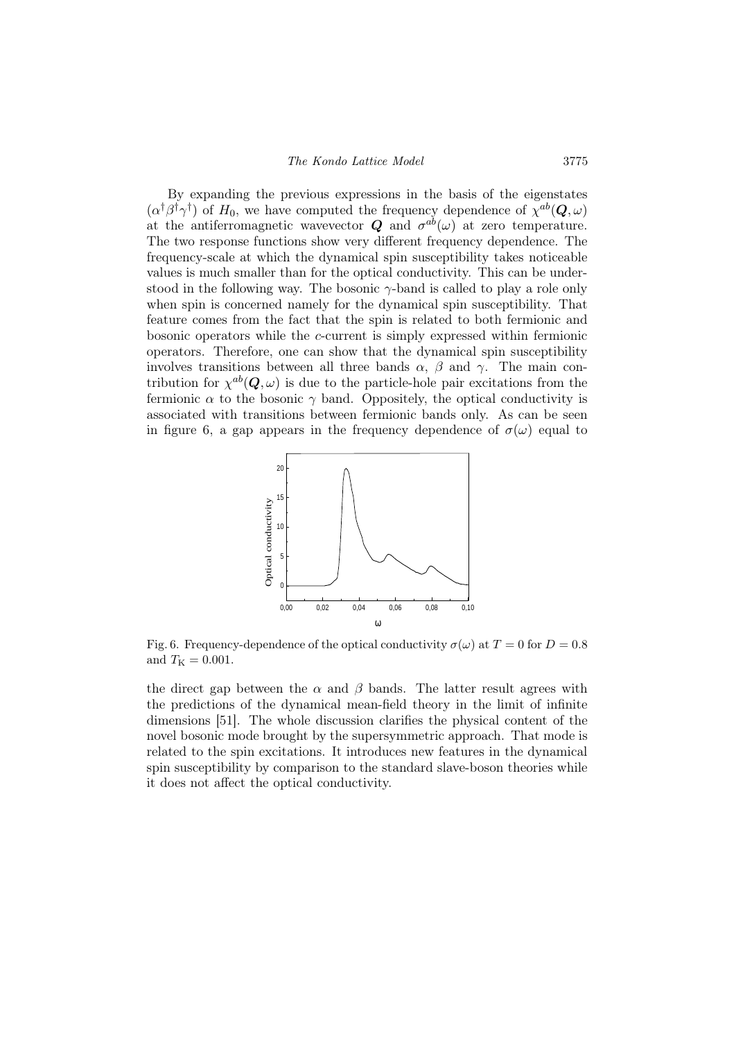By expanding the previous expressions in the basis of the eigenstates  $(\alpha^{\dagger} \beta^{\dagger} \gamma^{\dagger})$  of  $H_0$ , we have computed the frequency dependence of  $\chi^{ab}(\mathbf{Q}, \omega)$ at the antiferromagnetic wavevector  $Q$  and  $\sigma^{ab}(\omega)$  at zero temperature. The two response functions show very different frequency dependence. The frequency-scale at which the dynamical spin susceptibility takes noticeable values is much smaller than for the optical conductivity. This can be understood in the following way. The bosonic  $\gamma$ -band is called to play a role only when spin is concerned namely for the dynamical spin susceptibility. That feature comes from the fact that the spin is related to both fermionic and bosonic operators while the c-current is simply expressed within fermionic operators. Therefore, one can show that the dynamical spin susceptibility involves transitions between all three bands  $\alpha$ ,  $\beta$  and  $\gamma$ . The main contribution for  $\chi^{ab}(\mathbf{Q}, \omega)$  is due to the particle-hole pair excitations from the fermionic  $\alpha$  to the bosonic  $\gamma$  band. Oppositely, the optical conductivity is associated with transitions between fermionic bands only. As can be seen in figure 6, a gap appears in the frequency dependence of  $\sigma(\omega)$  equal to



Fig. 6. Frequency-dependence of the optical conductivity  $\sigma(\omega)$  at  $T = 0$  for  $D = 0.8$ and  $T_{\rm K} = 0.001$ .

the direct gap between the  $\alpha$  and  $\beta$  bands. The latter result agrees with the predictions of the dynamical mean-field theory in the limit of infinite dimensions [51]. The whole discussion clarifies the physical content of the novel bosonic mode brought by the supersymmetric approach. That mode is related to the spin excitations. It introduces new features in the dynamical spin susceptibility by comparison to the standard slave-boson theories while it does not affect the optical conductivity.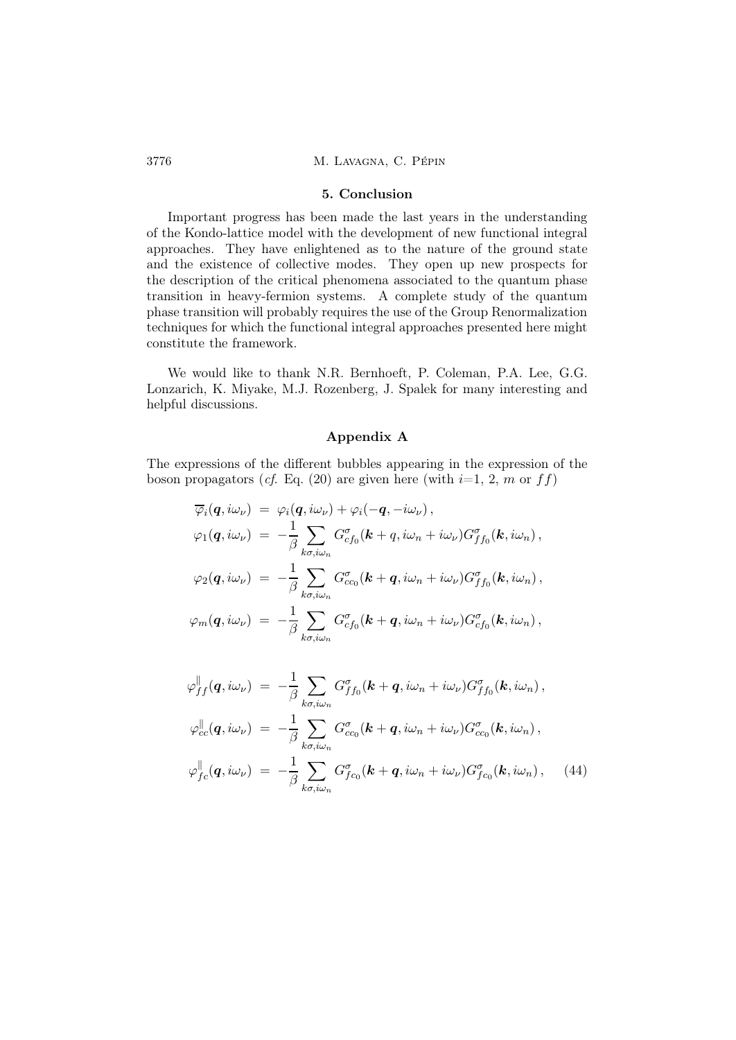#### 5. Conclusion

Important progress has been made the last years in the understanding of the Kondo-lattice model with the development of new functional integral approaches. They have enlightened as to the nature of the ground state and the existence of collective modes. They open up new prospects for the description of the critical phenomena associated to the quantum phase transition in heavy-fermion systems. A complete study of the quantum phase transition will probably requires the use of the Group Renormalization techniques for which the functional integral approaches presented here might constitute the framework.

We would like to thank N.R. Bernhoeft, P. Coleman, P.A. Lee, G.G. Lonzarich, K. Miyake, M.J. Rozenberg, J. Spalek for many interesting and helpful discussions.

## Appendix A

The expressions of the different bubbles appearing in the expression of the boson propagators (cf. Eq. (20) are given here (with  $i=1, 2, m$  or  $ff$ )

$$
\overline{\varphi}_i(\mathbf{q}, i\omega_\nu) = \varphi_i(\mathbf{q}, i\omega_\nu) + \varphi_i(-\mathbf{q}, -i\omega_\nu),
$$
  
\n
$$
\varphi_1(\mathbf{q}, i\omega_\nu) = -\frac{1}{\beta} \sum_{k\sigma, i\omega_n} G_{cf_0}^\sigma(\mathbf{k} + \mathbf{q}, i\omega_n + i\omega_\nu) G_{ff_0}^\sigma(\mathbf{k}, i\omega_n),
$$
  
\n
$$
\varphi_2(\mathbf{q}, i\omega_\nu) = -\frac{1}{\beta} \sum_{k\sigma, i\omega_n} G_{cc_0}^\sigma(\mathbf{k} + \mathbf{q}, i\omega_n + i\omega_\nu) G_{ff_0}^\sigma(\mathbf{k}, i\omega_n),
$$
  
\n
$$
\varphi_m(\mathbf{q}, i\omega_\nu) = -\frac{1}{\beta} \sum_{k\sigma, i\omega_n} G_{cf_0}^\sigma(\mathbf{k} + \mathbf{q}, i\omega_n + i\omega_\nu) G_{cf_0}^\sigma(\mathbf{k}, i\omega_n),
$$

$$
\varphi_{ff}^{\parallel}(q,i\omega_{\nu}) = -\frac{1}{\beta} \sum_{k\sigma,i\omega_{n}} G_{ff_{0}}^{\sigma}(k+q,i\omega_{n}+i\omega_{\nu}) G_{ff_{0}}^{\sigma}(k,i\omega_{n}),
$$
  
\n
$$
\varphi_{cc}^{\parallel}(q,i\omega_{\nu}) = -\frac{1}{\beta} \sum_{k\sigma,i\omega_{n}} G_{cc_{0}}^{\sigma}(k+q,i\omega_{n}+i\omega_{\nu}) G_{cc_{0}}^{\sigma}(k,i\omega_{n}),
$$
  
\n
$$
\varphi_{fc}^{\parallel}(q,i\omega_{\nu}) = -\frac{1}{\beta} \sum_{k\sigma,i\omega_{n}} G_{fc_{0}}^{\sigma}(k+q,i\omega_{n}+i\omega_{\nu}) G_{fc_{0}}^{\sigma}(k,i\omega_{n}), \qquad (44)
$$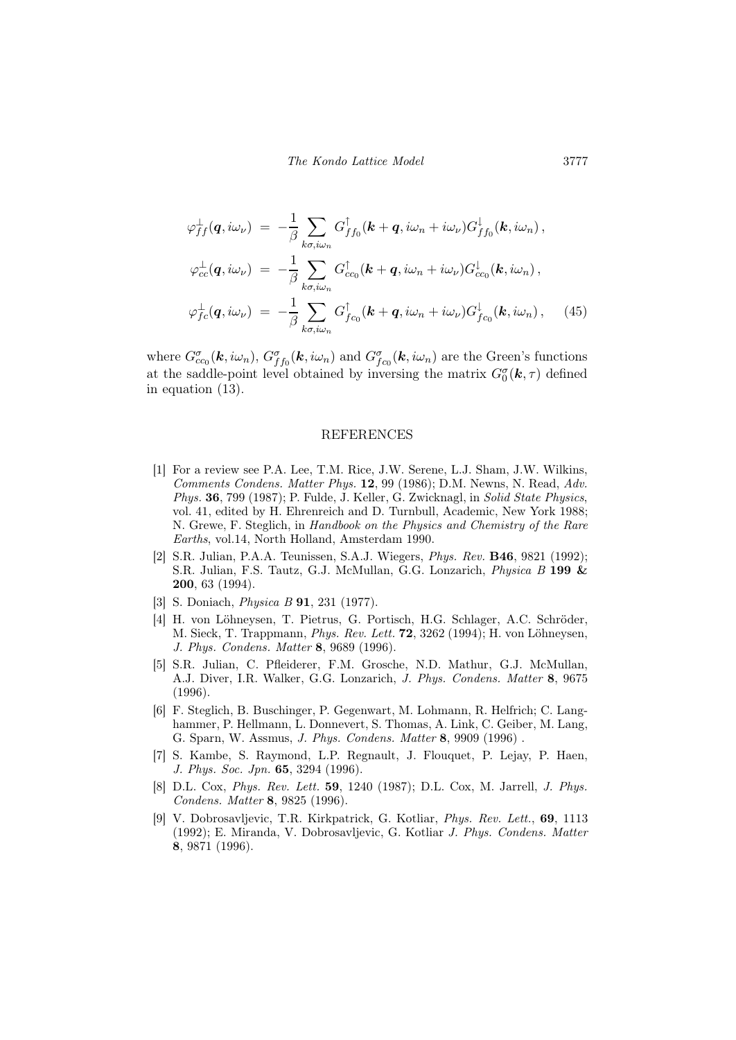$$
\varphi_{ff}^{\perp}(\boldsymbol{q}, i\omega_{\nu}) = -\frac{1}{\beta} \sum_{k\sigma, i\omega_{n}} G_{ff_{0}}^{\dagger}(\boldsymbol{k} + \boldsymbol{q}, i\omega_{n} + i\omega_{\nu}) G_{ff_{0}}^{\perp}(\boldsymbol{k}, i\omega_{n}),
$$

$$
\varphi_{cc}^{\perp}(\boldsymbol{q}, i\omega_{\nu}) = -\frac{1}{\beta} \sum_{k\sigma, i\omega_{n}} G_{cc_{0}}^{\dagger}(\boldsymbol{k} + \boldsymbol{q}, i\omega_{n} + i\omega_{\nu}) G_{cc_{0}}^{\perp}(\boldsymbol{k}, i\omega_{n}),
$$

$$
\varphi_{fc}^{\perp}(\boldsymbol{q}, i\omega_{\nu}) = -\frac{1}{\beta} \sum_{k\sigma, i\omega_{n}} G_{fc_{0}}^{\dagger}(\boldsymbol{k} + \boldsymbol{q}, i\omega_{n} + i\omega_{\nu}) G_{fc_{0}}^{\perp}(\boldsymbol{k}, i\omega_{n}), \qquad (45)
$$

where  $G_{cc_0}^{\sigma}(\mathbf{k}, i\omega_n)$ ,  $G_{ff_0}^{\sigma}(\mathbf{k}, i\omega_n)$  and  $G_{fc_0}^{\sigma}(\mathbf{k}, i\omega_n)$  are the Green's functions at the saddle-point level obtained by inversing the matrix  $G_0^{\sigma}(\mathbf{k},\tau)$  defined in equation (13).

#### REFERENCES

- [1] For a review see P.A. Lee, T.M. Rice, J.W. Serene, L.J. Sham, J.W. Wilkins, Comments Condens. Matter Phys. 12, 99 (1986); D.M. Newns, N. Read, Adv. Phys. 36, 799 (1987); P. Fulde, J. Keller, G. Zwicknagl, in Solid State Physics, vol. 41, edited by H. Ehrenreich and D. Turnbull, Academic, New York 1988; N. Grewe, F. Steglich, in Handbook on the Physics and Chemistry of the Rare Earths, vol.14, North Holland, Amsterdam 1990.
- [2] S.R. Julian, P.A.A. Teunissen, S.A.J. Wiegers, Phys. Rev. B46, 9821 (1992); S.R. Julian, F.S. Tautz, G.J. McMullan, G.G. Lonzarich, Physica B 199 & 200, 63 (1994).
- [3] S. Doniach, Physica B 91, 231 (1977).
- [4] H. von Löhneysen, T. Pietrus, G. Portisch, H.G. Schlager, A.C. Schröder, M. Sieck, T. Trappmann, Phys. Rev. Lett. 72, 3262 (1994); H. von Löhneysen, J. Phys. Condens. Matter 8, 9689 (1996).
- [5] S.R. Julian, C. Pfleiderer, F.M. Grosche, N.D. Mathur, G.J. McMullan, A.J. Diver, I.R. Walker, G.G. Lonzarich, J. Phys. Condens. Matter 8, 9675 (1996).
- [6] F. Steglich, B. Buschinger, P. Gegenwart, M. Lohmann, R. Helfrich; C. Langhammer, P. Hellmann, L. Donnevert, S. Thomas, A. Link, C. Geiber, M. Lang, G. Sparn, W. Assmus, J. Phys. Condens. Matter 8, 9909 (1996) .
- [7] S. Kambe, S. Raymond, L.P. Regnault, J. Flouquet, P. Lejay, P. Haen, J. Phys. Soc. Jpn. 65, 3294 (1996).
- [8] D.L. Cox, Phys. Rev. Lett. 59, 1240 (1987); D.L. Cox, M. Jarrell, J. Phys. Condens. Matter 8, 9825 (1996).
- [9] V. Dobrosavljevic, T.R. Kirkpatrick, G. Kotliar, Phys. Rev. Lett., 69, 1113 (1992); E. Miranda, V. Dobrosavljevic, G. Kotliar J. Phys. Condens. Matter 8, 9871 (1996).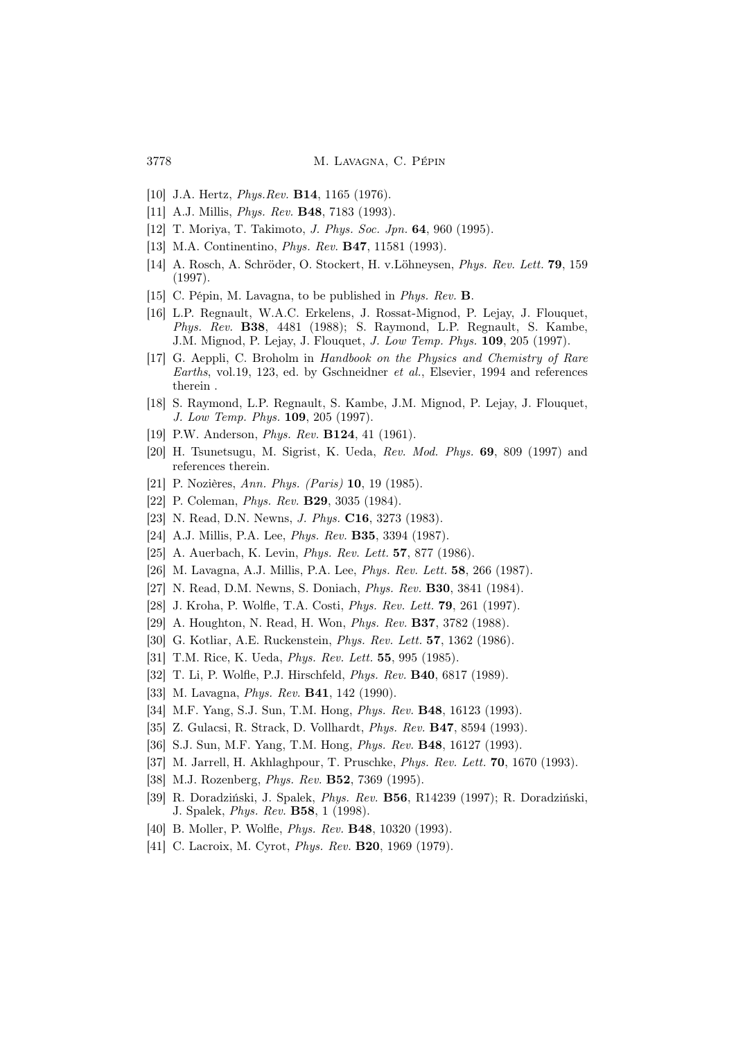- [10] J.A. Hertz, *Phys.Rev.* **B14**, 1165 (1976).
- [11] A.J. Millis, *Phys. Rev.* **B48**, 7183 (1993).
- [12] T. Moriya, T. Takimoto, J. Phys. Soc. Jpn. 64, 960 (1995).
- [13] M.A. Continentino, *Phys. Rev.* **B47**, 11581 (1993).
- [14] A. Rosch, A. Schröder, O. Stockert, H. v.Löhneysen, Phys. Rev. Lett. 79, 159 (1997).
- [15] C. Pépin, M. Lavagna, to be published in Phys. Rev. B.
- [16] L.P. Regnault, W.A.C. Erkelens, J. Rossat-Mignod, P. Lejay, J. Flouquet, Phys. Rev. B38, 4481 (1988); S. Raymond, L.P. Regnault, S. Kambe, J.M. Mignod, P. Lejay, J. Flouquet, J. Low Temp. Phys. 109, 205 (1997).
- [17] G. Aeppli, C. Broholm in Handbook on the Physics and Chemistry of Rare Earths, vol.19, 123, ed. by Gschneidner et al., Elsevier, 1994 and references therein .
- [18] S. Raymond, L.P. Regnault, S. Kambe, J.M. Mignod, P. Lejay, J. Flouquet, J. Low Temp. Phys. 109, 205 (1997).
- [19] P.W. Anderson, *Phys. Rev.* **B124**, 41 (1961).
- [20] H. Tsunetsugu, M. Sigrist, K. Ueda, Rev. Mod. Phys. 69, 809 (1997) and references therein.
- [21] P. Nozières, Ann. Phys. (Paris) 10, 19 (1985).
- [22] P. Coleman, *Phys. Rev.* **B29**, 3035 (1984).
- [23] N. Read, D.N. Newns, *J. Phys.* **C16**, 3273 (1983).
- [24] A.J. Millis, P.A. Lee, *Phys. Rev.* **B35**, 3394 (1987).
- [25] A. Auerbach, K. Levin, *Phys. Rev. Lett.* **57**, 877 (1986).
- [26] M. Lavagna, A.J. Millis, P.A. Lee, Phys. Rev. Lett. 58, 266 (1987).
- [27] N. Read, D.M. Newns, S. Doniach, Phys. Rev. B30, 3841 (1984).
- [28] J. Kroha, P. Wolfle, T.A. Costi, Phys. Rev. Lett. 79, 261 (1997).
- [29] A. Houghton, N. Read, H. Won, Phys. Rev. B37, 3782 (1988).
- [30] G. Kotliar, A.E. Ruckenstein, *Phys. Rev. Lett.* **57**, 1362 (1986).
- [31] T.M. Rice, K. Ueda, *Phys. Rev. Lett.* **55**, 995 (1985).
- [32] T. Li, P. Wolfle, P.J. Hirschfeld, Phys. Rev. B40, 6817 (1989).
- [33] M. Lavagna, *Phys. Rev.* **B41**, 142 (1990).
- [34] M.F. Yang, S.J. Sun, T.M. Hong, *Phys. Rev.* **B48**, 16123 (1993).
- [35] Z. Gulacsi, R. Strack, D. Vollhardt, Phys. Rev. B47, 8594 (1993).
- [36] S.J. Sun, M.F. Yang, T.M. Hong, *Phys. Rev.* **B48**, 16127 (1993).
- [37] M. Jarrell, H. Akhlaghpour, T. Pruschke, Phys. Rev. Lett. 70, 1670 (1993).
- [38] M.J. Rozenberg, *Phys. Rev.* **B52**, 7369 (1995).
- [39] R. Doradziński, J. Spalek, Phys. Rev. B56, R14239 (1997); R. Doradziński, J. Spalek, Phys. Rev. B58, 1 (1998).
- [40] B. Moller, P. Wolfle, *Phys. Rev.* **B48**, 10320 (1993).
- [41] C. Lacroix, M. Cyrot, *Phys. Rev.* **B20**, 1969 (1979).